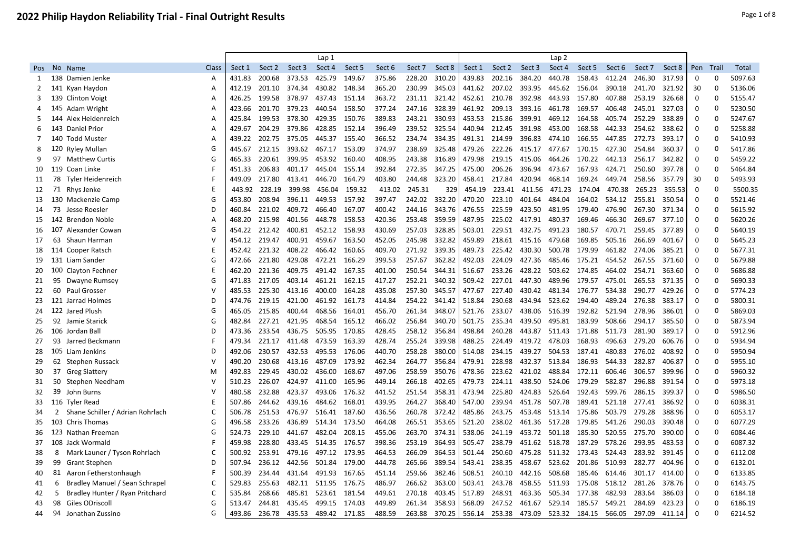|    |        |                                                  |   |        |        |        | Lap <sub>1</sub> |        |        |        |        |        |        |        | Lap <sub>2</sub> |               |        |        |        |             |             |              |
|----|--------|--------------------------------------------------|---|--------|--------|--------|------------------|--------|--------|--------|--------|--------|--------|--------|------------------|---------------|--------|--------|--------|-------------|-------------|--------------|
|    | Pos No | Name<br>Class                                    |   | Sect 1 | Sect 2 | Sect 3 | Sect 4           | Sect 5 | Sect 6 | Sect 7 | Sect 8 | Sect 1 | Sect 2 | Sect 3 | Sect 4           | Sect 5        | Sect 6 | Sect 7 | Sect 8 | Pen         | Trail       | <b>Total</b> |
| 1  |        | 138 Damien Jenke                                 | Α | 431.83 | 200.68 | 373.53 | 425.79           | 149.67 | 375.86 | 228.20 | 310.20 | 439.83 | 202.16 | 384.20 | 440.78           | 158.43        | 412.24 | 246.30 | 317.93 | $\mathbf 0$ | 0           | 5097.63      |
| 2  |        | 141 Kyan Haydon                                  | Α | 412.19 | 201.10 | 374.34 | 430.82           | 148.34 | 365.20 | 230.99 | 345.03 | 441.62 | 207.02 | 393.95 | 445.62           | 156.04        | 390.18 | 241.70 | 321.92 | 30          | 0           | 5136.06      |
| 3  | 139    | <b>Clinton Voigt</b>                             | Α | 426.25 | 199.58 | 378.97 | 437.43           | 151.14 | 363.72 | 231.11 | 321.42 | 452.61 | 210.78 | 392.98 | 443.93           | 157.80        | 407.88 | 253.19 | 326.68 | 0           | 0           | 5155.47      |
|    |        | 145 Adam Wright<br>A                             |   | 423.66 | 201.70 | 379.23 | 440.54           | 158.50 | 377.24 | 247.16 | 328.39 | 461.92 | 209.13 | 393.16 | 461.78           | 169.57        | 406.48 | 245.01 | 327.03 | 0           | $\mathbf 0$ | 5230.50      |
| 5  | 144    | Alex Heidenreich                                 | Α | 425.84 | 199.53 | 378.30 | 429.35           | 150.76 | 389.83 | 243.21 | 330.93 | 453.53 | 215.86 | 399.91 | 469.12           | 164.58        | 405.74 | 252.29 | 338.89 | 0           | 0           | 5247.67      |
| 6  | 143    | Daniel Prior                                     | А | 429.67 | 204.29 | 379.86 | 428.85           | 152.14 | 396.49 | 239.52 | 325.54 | 440.94 | 212.45 | 391.98 | 453.00           | 168.58        | 442.33 | 254.62 | 338.62 | 0           | 0           | 5258.88      |
| 7  | 140    | <b>Todd Muster</b>                               | Α | 439.22 | 202.75 | 375.05 | 445.37           | 155.40 | 366.52 | 234.74 | 334.35 | 491.31 | 214.99 | 396.83 | 474.10           | 166.55        | 447.85 | 272.73 | 393.17 | 0           | 0           | 5410.93      |
| 8  | 120    | <b>Ryley Mullan</b>                              | G | 445.67 | 212.15 | 393.62 | 467.17           | 153.09 | 374.97 | 238.69 | 325.48 | 479.26 | 222.26 | 415.17 | 477.67           | 170.15        | 427.30 | 254.84 | 360.37 | 0           | 0           | 5417.86      |
| q  | 97     | <b>Matthew Curtis</b>                            | G | 465.33 | 220.61 | 399.95 | 453.92           | 160.40 | 408.95 | 243.38 | 316.89 | 479.98 | 219.15 | 415.06 | 464.26           | 170.22        | 442.13 | 256.17 | 342.82 | 0           | $\mathbf 0$ | 5459.22      |
| 10 | 119    | Coan Linke                                       | F | 451.33 | 206.83 | 401.17 | 445.04           | 155.14 | 392.84 | 272.35 | 347.25 | 475.00 | 206.26 | 396.94 | 473.67           | 167.93        | 424.71 | 250.60 | 397.78 | 0           | 0           | 5464.84      |
| 11 | 78     | F<br><b>Tyler Heidenreich</b>                    |   | 449.09 | 217.80 | 413.41 | 446.70           | 164.79 | 403.80 | 244.48 | 323.20 | 458.41 | 217.84 | 420.94 | 468.14           | 169.24        | 449.74 | 258.56 | 357.79 | 30          | 0           | 5493.93      |
| 12 | 71     | Rhys Jenke                                       | Ε | 443.92 | 228.19 | 399.98 | 456.04           | 159.32 | 413.02 | 245.31 | 329    | 454.19 | 223.41 | 411.56 | 471.23           | 174.04        | 470.38 | 265.23 | 355.53 | 0           | 0           | 5500.35      |
| 13 | 130    | Mackenzie Camp                                   | G | 453.80 | 208.94 | 396.11 | 449.53           | 157.92 | 397.47 | 242.02 | 332.20 | 470.20 | 223.10 | 401.64 | 484.04           | 164.02        | 534.12 | 255.81 | 350.54 | 0           | $\mathbf 0$ | 5521.46      |
| 14 | 73     | Jesse Roesler                                    | D | 460.84 | 221.02 | 409.72 | 466.40           | 167.07 | 400.42 | 244.16 | 343.76 | 476.55 | 225.59 | 423.50 | 481.95           | 179.40        | 476.90 | 267.30 | 371.34 | 0           | $\mathbf 0$ | 5615.92      |
| 15 | 142    | Brendon Noble                                    | Α | 468.20 | 215.98 | 401.56 | 448.78           | 158.53 | 420.36 | 253.48 | 359.59 | 487.95 | 225.02 | 417.91 | 480.37           | 169.46        | 466.30 | 269.67 | 377.10 | 0           | 0           | 5620.26      |
| 16 | -107   | Alexander Cowan                                  | G | 454.22 | 212.42 | 400.81 | 452.12           | 158.93 | 430.69 | 257.03 | 328.85 | 503.01 | 229.51 | 432.75 | 491.23           | 180.57        | 470.71 | 259.45 | 377.89 | 0           | $\Omega$    | 5640.19      |
| 17 | 63     | Shaun Harman<br>v                                |   | 454.12 | 219.47 | 400.91 | 459.67           | 163.50 | 452.05 | 245.98 | 332.82 | 459.89 | 218.61 | 415.16 | 479.68           | 169.85        | 505.16 | 266.69 | 401.67 | 0           | 0           | 5645.23      |
| 18 | 114    | Cooper Ratsch                                    | E | 452.42 | 221.32 | 408.22 | 466.42           | 160.65 | 409.70 | 271.92 | 339.35 | 489.73 | 225.42 | 430.30 | 500.78           | 179.99        | 461.82 | 274.06 | 385.21 | 0           | 0           | 5677.31      |
| 19 |        | 131 Liam Sander                                  | G | 472.66 | 221.80 | 429.08 | 472.21 166.29    |        | 399.53 | 257.67 | 362.82 | 492.03 | 224.09 | 427.36 | 485.46           | 175.21        | 454.52 | 267.55 | 371.60 | 0           | $\Omega$    | 5679.88      |
| 20 |        | 100 Clayton Fechner                              | E | 462.20 | 221.36 | 409.75 | 491.42           | 167.35 | 401.00 | 250.54 | 344.31 | 516.67 | 233.26 | 428.22 | 503.62           | 174.85        | 464.02 | 254.71 | 363.60 | 0           | 0           | 5686.88      |
| 21 | 95     | Dwayne Rumsey                                    | G | 471.83 | 217.05 | 403.14 | 461.21           | 162.15 | 417.27 | 252.21 | 340.32 | 509.42 | 227.01 | 447.30 | 489.96           | 179.57        | 475.01 | 265.53 | 371.35 | $\mathbf 0$ | 0           | 5690.33      |
| 22 | 60     | v<br>Paul Grosser                                |   | 485.53 | 225.30 | 413.16 | 400.00           | 164.28 | 435.08 | 257.30 | 345.57 | 477.67 | 227.40 | 430.42 | 481.34           | 176.77        | 534.38 | 290.77 | 429.26 | 0           | 0           | 5774.23      |
| 23 |        | D<br>121 Jarrad Holmes                           |   | 474.76 | 219.15 | 421.00 | 461.92           | 161.73 | 414.84 | 254.22 | 341.42 | 518.84 | 230.68 | 434.94 | 523.62           | 194.40        | 489.24 | 276.38 | 383.17 | 0           | 0           | 5800.31      |
| 24 |        | 122 Jared Plush                                  | G | 465.05 | 215.85 | 400.44 | 468.56           | 164.01 | 456.70 | 261.34 | 348.07 | 521.76 | 233.07 | 438.06 | 516.39           | 192.82 521.94 |        | 278.96 | 386.01 | 0           | $\mathbf 0$ | 5869.03      |
| 25 | 92     | Jamie Starick                                    | G | 482.84 | 227.21 | 421.95 | 468.54           | 165.12 | 466.02 | 256.84 | 340.70 | 501.75 | 235.34 | 439.50 | 495.81           | 183.99        | 508.66 | 294.17 | 385.50 | 0           | 0           | 5873.94      |
| 26 |        | 106 Jordan Ball                                  | D | 473.36 | 233.54 | 436.75 | 505.95           | 170.85 | 428.45 | 258.12 | 356.84 | 498.84 | 240.28 | 443.87 | 511.43           | 171.88        | 511.73 | 281.90 | 389.17 | 0           | 0           | 5912.96      |
| 27 | 93     | Jarred Beckmann<br>F                             |   | 479.34 | 221.17 | 411.48 | 473.59           | 163.39 | 428.74 | 255.24 | 339.98 | 488.25 | 224.49 | 419.72 | 478.03           | 168.93        | 496.63 | 279.20 | 606.76 | 0           | $\mathbf 0$ | 5934.94      |
| 28 | 105    | Liam Jenkins                                     | D | 492.06 | 230.57 | 432.53 | 495.53           | 176.06 | 440.70 | 258.28 | 380.00 | 514.08 | 234.15 | 439.27 | 504.53           | 187.41        | 480.83 | 276.02 | 408.92 | 0           | $\mathbf 0$ | 5950.94      |
| 29 | 62     | $\vee$<br>Stephen Russack                        |   | 490.20 | 230.68 | 413.16 | 487.09           | 173.92 | 462.34 | 264.77 | 356.84 | 479.91 | 228.98 | 432.37 | 513.84           | 186.93        | 544.33 | 282.87 | 406.87 | $\mathbf 0$ | $\mathbf 0$ | 5955.10      |
| 30 | 37     | <b>Greg Slattery</b><br>M                        |   | 492.83 | 229.45 | 430.02 | 436.00           | 168.67 | 497.06 | 258.59 | 350.76 | 478.36 | 223.62 | 421.02 | 488.84           | 172.11        | 606.46 | 306.57 | 399.96 | 0           | $\mathbf 0$ | 5960.32      |
| 31 | 50     | $\vee$<br>Stephen Needham                        |   | 510.23 | 226.07 | 424.97 | 411.00           | 165.96 | 449.14 | 266.18 | 402.65 | 479.73 | 224.11 | 438.50 | 524.06           | 179.29        | 582.87 | 296.88 | 391.54 | 0           | $\mathbf 0$ | 5973.18      |
| 32 | 39     | John Burns                                       | V | 480.58 | 232.88 | 423.37 | 493.06           | 176.32 | 441.52 | 251.54 | 358.31 | 473.94 | 225.80 | 424.83 | 526.64           | 192.43        | 599.76 | 286.15 | 399.37 | 0           | $\Omega$    | 5986.50      |
| 33 | 116    | <b>Tyler Read</b>                                | E | 507.86 | 244.62 | 439.16 | 484.62           | 168.01 | 439.95 | 264.27 | 368.40 | 547.00 | 239.94 | 451.78 | 507.78           | 189.41        | 521.18 | 277.41 | 386.92 | 0           | 0           | 6038.31      |
| 34 | 2      | $\mathsf{C}$<br>Shane Schiller / Adrian Rohrlach |   | 506.78 | 251.53 | 476.97 | 516.41           | 187.60 | 436.56 | 260.78 | 372.42 | 485.86 | 243.75 | 453.48 | 513.14           | 175.86        | 503.79 | 279.28 | 388.96 | 0           | $\mathbf 0$ | 6053.17      |
| 35 | 103    | <b>Chris Thomas</b>                              | G | 496.58 | 233.26 | 436.89 | 514.34           | 173.50 | 464.08 | 265.51 | 353.65 | 521.20 | 238.02 | 461.36 | 517.28           | 179.85        | 541.26 | 290.03 | 390.48 | 0           | 0           | 6077.29      |
| 36 | 123    | Nathan Freeman                                   | G | 524.73 | 229.10 | 441.67 | 482.04           | 208.15 | 455.06 | 263.70 | 374.31 | 538.06 | 241.19 | 453.72 | 501.18           | 185.30        | 520.55 | 275.70 | 390.00 | $\Omega$    | 0           | 6084.46      |
| 37 |        | 108 Jack Wormald                                 | F | 459.98 | 228.80 | 433.45 | 514.35           | 176.57 | 398.36 | 253.19 | 364.93 | 505.47 | 238.79 | 451.62 | 518.78           | 187.29        | 578.26 | 293.95 | 483.53 | 0           | $\Omega$    | 6087.32      |
| 38 | 8      | Mark Launer / Tyson Rohrlach<br>C                |   | 500.92 | 253.91 | 479.16 | 497.12           | 173.95 | 464.53 | 266.09 | 364.53 | 501.44 | 250.60 | 475.28 | 511.32           | 173.43        | 524.43 | 283.92 | 391.45 | 0           | 0           | 6112.08      |
| 39 | 99     | <b>Grant Stephen</b>                             | D | 507.94 | 236.12 | 442.56 | 501.84           | 179.00 | 444.78 | 265.66 | 389.54 | 543.41 | 238.35 | 458.67 | 523.62           | 201.86        | 510.93 | 282.77 | 404.96 | 0           | 0           | 6132.01      |
| 40 | 81     | F<br>Aaron Fetherstonhaugh                       |   | 500.39 | 234.44 | 431.64 | 491.93           | 167.65 | 451.14 | 259.66 | 382.46 | 508.51 | 240.10 | 442.16 | 508.68           | 185.46        | 614.46 | 301.17 | 414.00 | 0           | 0           | 6133.85      |
| 41 | 6      | $\mathsf{C}$<br>Bradley Manuel / Sean Schrapel   |   | 529.83 | 255.63 | 482.11 | 511.95           | 176.75 | 486.97 | 266.62 | 363.00 | 503.41 | 243.78 | 458.55 | 511.93           | 175.08        | 518.12 | 281.26 | 378.76 | 0           | $\mathbf 0$ | 6143.75      |
| 42 | 5      | Bradley Hunter / Ryan Pritchard                  | C | 535.84 | 268.66 | 485.81 | 523.61           | 181.54 | 449.61 | 270.18 | 403.45 | 517.89 | 248.91 | 463.36 | 505.34           | 177.38        | 482.93 | 283.64 | 386.03 | 0           | $\mathbf 0$ | 6184.18      |
| 43 | 98     | Giles ODriscoll                                  | G | 513.47 | 244.81 | 435.45 | 499.15           | 174.03 | 449.89 | 261.34 | 358.93 | 568.09 | 247.52 | 461.67 | 529.14           | 185.57        | 549.21 | 284.69 | 423.23 | 0           | $\mathbf 0$ | 6186.19      |
| 44 | 94     | Jonathan Zussino                                 | G | 493.86 | 236.78 | 435.53 | 489.42           | 171.85 | 488.59 | 263.88 | 370.25 | 556.14 | 253.38 | 473.09 | 523.32 184.15    |               | 566.05 | 297.09 | 411.14 | 0           | $\Omega$    | 6214.52      |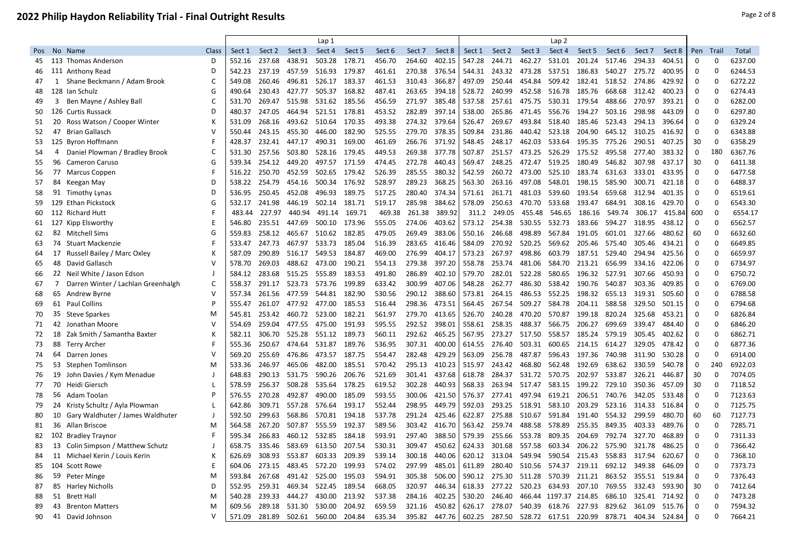## **2022 Philip Haydon Reliability Trial - Final Outright Results Page 2 of 8** Page 2 of 8

|    |                                                      |              |        |        |        | Lap <sub>1</sub> |        |        |        |        |        |        |        | Lap <sub>2</sub>      |               |        |        |        |             |             |         |
|----|------------------------------------------------------|--------------|--------|--------|--------|------------------|--------|--------|--------|--------|--------|--------|--------|-----------------------|---------------|--------|--------|--------|-------------|-------------|---------|
|    | Pos No Name                                          | Class        | Sect 1 | Sect 2 | Sect 3 | Sect 4           | Sect 5 | Sect 6 | Sect 7 | Sect 8 | Sect 1 | Sect 2 | Sect 3 | Sect 4                | Sect 5        | Sect 6 | Sect 7 | Sect 8 | Pen         | Trail       | Total   |
| 45 | 113 Thomas Anderson                                  | D            | 552.16 | 237.68 | 438.91 | 503.28           | 178.71 | 456.70 | 264.60 | 402.15 | 547.28 | 244.71 | 462.27 | 531.01                | 201.24        | 517.46 | 294.33 | 404.51 | 0           | 0           | 6237.00 |
| 46 | 111 Anthony Read                                     | D            | 542.23 | 237.19 | 457.59 | 516.93           | 179.87 | 461.61 | 270.38 | 376.54 | 544.31 | 243.32 | 473.28 | 537.51                | 186.83        | 540.27 | 275.72 | 400.95 | 0           | 0           | 6244.53 |
| 47 | 1 Shane Beckmann / Adam Brook                        | C            | 549.08 | 260.46 | 496.81 | 526.17           | 183.37 | 461.53 | 310.43 | 366.87 | 497.09 | 250.44 | 454.84 | 509.42                | 182.41        | 518.52 | 274.86 | 429.92 | 0           | $\Omega$    | 6272.22 |
| 48 | 128 Ian Schulz                                       | G            | 490.64 | 230.43 | 427.77 | 505.37           | 168.82 | 487.41 | 263.65 | 394.18 | 528.72 | 240.99 | 452.58 | 516.78                | 185.76        | 668.68 | 312.42 | 400.23 | 0           | $\Omega$    | 6274.43 |
| 49 | 3<br>Ben Mayne / Ashley Ball                         | $\mathsf{C}$ | 531.70 | 269.47 | 515.98 | 531.62           | 185.56 | 456.59 | 271.97 | 385.48 | 537.58 | 257.61 | 475.75 | 530.31                | 179.54        | 488.66 | 270.97 | 393.21 | $\Omega$    | 0           | 6282.00 |
| 50 | 126 Curtis Russack                                   | D            | 480.37 | 247.05 | 464.94 | 521.51           | 178.81 | 453.52 | 282.89 | 397.14 | 538.00 | 265.86 | 471.45 | 556.76                | 194.27        | 503.16 | 298.98 | 443.09 | $\Omega$    | $\Omega$    | 6297.80 |
| 51 | 20<br>Ross Watson / Cooper Winter                    | К            | 531.09 | 268.16 | 493.62 | 510.64           | 170.35 | 493.38 | 274.32 | 379.64 | 526.47 | 269.67 | 493.84 | 518.40                | 185.46        | 523.43 | 294.13 | 396.64 | 0           | $\Omega$    | 6329.24 |
| 52 | 47<br>Brian Gallasch                                 | $\mathbf v$  | 550.44 | 243.15 | 455.30 | 446.00           | 182.90 | 525.55 | 279.70 | 378.35 | 509.84 | 231.86 | 440.42 | 523.18                | 204.90        | 645.12 | 310.25 | 416.92 | 0           | $\mathbf 0$ | 6343.88 |
| 53 | 125 Byron Hoffmann                                   | F            | 428.37 | 232.41 | 447.17 | 490.31 169.00    |        | 461.69 | 266.76 | 371.92 | 548.45 | 248.17 | 462.03 | 533.64                | 195.35 775.26 |        | 290.51 | 407.25 | 30          | $\mathbf 0$ | 6358.29 |
| 54 | Daniel Plowman / Bradley Brook<br>4                  | C            | 531.30 | 257.56 | 503.80 | 528.16           | 179.45 | 449.53 | 269.38 | 377.78 | 507.87 | 251.57 | 473.25 | 526.29                | 175.52        | 495.58 | 277.40 | 383.32 | 0           | 180         | 6367.76 |
| 55 | 96<br><b>Cameron Caruso</b>                          | G            | 539.34 | 254.12 | 449.20 | 497.57           | 171.59 | 474.45 | 272.78 | 440.43 | 569.47 | 248.25 | 472.47 | 519.25                | 180.49        | 546.82 | 307.98 | 437.17 | 30          | 0           | 6411.38 |
| 56 | 77<br><b>Marcus Coppen</b>                           | F            | 516.22 | 250.70 | 452.59 | 502.65           | 179.42 | 526.39 | 285.55 | 380.32 | 542.59 | 260.72 | 473.00 | 525.10                | 183.74        | 631.63 | 333.01 | 433.95 | 0           | 0           | 6477.58 |
| 57 | 84<br>Keegan May                                     | D            | 538.22 | 254.79 | 454.16 | 500.34           | 176.92 | 528.97 | 289.23 | 368.25 | 563.30 | 263.16 | 497.08 | 548.01                | 198.15        | 585.90 | 300.71 | 421.18 | 0           | 0           | 6488.37 |
| 58 | 91 Timothy Lynas                                     | D            | 536.95 | 250.45 | 452.08 | 496.93           | 189.75 | 517.25 | 280.40 | 374.34 | 571.61 | 261.71 | 481.03 | 539.60                | 193.54        | 659.68 | 312.94 | 401.35 | $\mathbf 0$ | 0           | 6519.61 |
| 59 | 129 Ethan Pickstock                                  | G            | 532.17 | 241.98 | 446.19 | 502.14           | 181.71 | 519.17 | 285.98 | 384.62 | 578.09 | 250.63 | 470.70 | 533.68                | 193.47        | 684.91 | 308.16 | 429.70 | 0           | 0           | 6543.30 |
| 60 | 112 Richard Hutt                                     | F            | 483.44 | 227.97 | 440.94 | 491.14           | 169.71 | 469.38 | 261.38 | 389.92 | 311.2  | 249.05 | 455.48 | 546.65                | 186.16        | 549.74 | 306.17 | 415.84 | 600         | $\mathbf 0$ | 6554.17 |
| 61 | 127 Kipp Elsworthy                                   | E            | 546.80 | 235.51 | 447.69 | 500.10           | 173.96 | 555.05 | 274.06 | 403.62 | 573.12 | 254.38 | 530.55 | 532.73                | 183.66        | 594.27 | 318.95 | 438.12 | $\mathbf 0$ | $\mathbf 0$ | 6562.57 |
| 62 | 82 Mitchell Sims                                     | G            | 559.83 | 258.12 | 465.67 | 510.62           | 182.85 | 479.05 | 269.49 | 383.06 | 550.16 | 246.68 | 498.89 | 567.84                | 191.05        | 601.01 | 327.66 | 480.62 | 60          | $\mathbf 0$ | 6632.60 |
| 63 | 74<br>Stuart Mackenzie                               | F            | 533.47 | 247.73 | 467.97 | 533.73           | 185.04 | 516.39 | 283.65 | 416.46 | 584.09 | 270.92 | 520.25 | 569.62                | 205.46        | 575.40 | 305.46 | 434.21 | 0           | $\Omega$    | 6649.85 |
| 64 | 17<br>Russell Bailey / Marc Oxley                    | К            | 587.09 | 290.89 | 516.17 | 549.53           | 184.87 | 469.00 | 276.99 | 404.17 | 573.23 | 267.97 | 498.86 | 603.79                | 187.51        | 529.40 | 294.94 | 425.56 | 0           | $\Omega$    | 6659.97 |
| 65 | 48<br>David Gallasch                                 | $\mathbf{v}$ | 578.70 | 269.03 | 488.62 | 473.00           | 190.21 | 554.13 | 279.38 | 397.20 | 558.78 | 253.74 | 481.06 | 584.70                | 213.21        | 656.99 | 334.16 | 422.06 | 0           | 0           | 6734.97 |
| 66 | 22<br>Neil White / Jason Edson                       |              | 584.12 | 283.68 | 515.25 | 555.89           | 183.53 | 491.80 | 286.89 | 402.10 | 579.70 | 282.01 | 522.28 | 580.65                | 196.32        | 527.91 | 307.66 | 450.93 | 0           | 0           | 6750.72 |
| 67 | $\overline{7}$<br>Darren Winter / Lachlan Greenhalgh | $\mathsf{C}$ | 558.37 | 291.17 | 523.73 | 573.76           | 199.89 | 633.42 | 300.99 | 407.06 | 548.28 | 262.77 | 486.30 | 538.42                | 190.76        | 540.87 | 303.36 | 409.85 | 0           | $\Omega$    | 6769.00 |
| 68 | 65<br>Andrew Byrne                                   | $\vee$       | 557.34 | 261.56 | 477.59 | 544.81           | 182.90 | 530.56 | 290.12 | 388.60 | 573.81 | 264.15 | 486.53 | 552.25                | 198.32        | 655.13 | 319.31 | 505.60 | 0           | $\mathbf 0$ | 6788.58 |
| 69 | 61 Paul Collins                                      | P            | 555.47 | 261.07 | 477.92 | 477.00           | 185.53 | 516.44 | 298.36 | 473.51 | 564.45 | 267.54 | 509.27 | 584.78                | 204.11 588.58 |        | 329.50 | 501.15 | 0           | $\Omega$    | 6794.68 |
| 70 | 35<br>Steve Sparkes                                  | M            | 545.81 | 253.42 | 460.72 | 523.00           | 182.21 | 561.97 | 279.70 | 413.65 | 526.70 | 240.28 | 470.20 | 570.87                | 199.18        | 820.24 | 325.68 | 453.21 | 0           | $\Omega$    | 6826.84 |
| 71 | 42<br>Jonathan Moore                                 | $\vee$       | 554.69 | 259.04 | 477.55 | 475.00           | 191.93 | 595.55 | 292.52 | 398.01 | 558.61 | 258.35 | 488.37 | 566.75                | 206.27        | 699.69 | 339.47 | 484.40 | $\mathbf 0$ | $\Omega$    | 6846.20 |
| 72 | 18<br>Zak Smith / Samantha Baxter                    |              | 582.11 | 306.70 | 525.28 | 551.12           | 189.73 | 560.11 | 292.62 | 465.25 | 567.95 | 273.27 | 517.50 | 558.57                | 185.24        | 579.19 | 305.45 | 402.62 | 0           | $\Omega$    | 6862.71 |
| 73 | 88<br><b>Terry Archer</b>                            | F            | 555.36 | 250.67 | 474.64 | 531.87           | 189.76 | 536.95 | 307.31 | 400.00 | 614.55 | 276.40 | 503.31 | 600.65                | 214.15        | 614.27 | 329.05 | 478.42 | 0           | 0           | 6877.36 |
| 74 | 64<br>Darren Jones                                   | $\mathsf{v}$ | 569.20 | 255.69 | 476.86 | 473.57           | 187.75 | 554.47 | 282.48 | 429.29 | 563.09 | 256.78 | 487.87 | 596.43                | 197.36        | 740.98 | 311.90 | 530.28 | $\mathbf 0$ | 0           | 6914.00 |
| 75 | 53<br><b>Stephen Tomlinson</b>                       | M            | 533.36 | 246.97 | 465.06 | 482.00           | 185.51 | 570.42 | 295.13 | 410.23 | 515.97 | 243.42 | 468.80 | 562.48                | 192.69        | 638.62 | 330.59 | 540.78 | $\mathbf 0$ | 240         | 6922.03 |
| 76 | 19<br>John Davies / Kym Menadue                      | - 1          | 648.83 | 290.13 | 531.75 | 590.26           | 206.76 | 521.69 | 301.41 | 437.68 | 618.78 | 284.37 | 531.72 | 570.75                | 202.97        | 533.87 | 326.21 | 446.87 | 30          | $\mathbf 0$ | 7074.05 |
| 77 | 70<br>Heidi Giersch                                  | -L           | 578.59 | 256.37 | 508.28 | 535.64           | 178.25 | 619.52 | 302.28 | 440.93 | 568.33 | 263.94 | 517.47 | 583.15                | 199.22 729.10 |        | 350.36 | 457.09 | 30          | $\Omega$    | 7118.52 |
| 78 | 56<br>Adam Toolan                                    | p            | 576.55 | 270.28 | 492.87 | 490.00           | 185.09 | 593.55 | 300.06 | 421.50 | 576.37 | 277.41 | 497.94 | 619.21                | 206.51 740.76 |        | 342.05 | 533.48 | $\mathbf 0$ | $\Omega$    | 7123.63 |
| 79 | 24<br>Kristy Schultz / Ayla Plowman                  | - L          | 642.86 | 309.71 | 557.28 | 576.64           | 193.17 | 552.44 | 298.95 | 449.79 | 592.03 | 293.25 | 518.91 | 583.10                | 203.29        | 523.16 | 314.33 | 516.84 | 0           | 0           | 7125.75 |
| 80 | 10<br>Gary Waldhuter / James Waldhuter               | - 1          | 592.50 | 299.63 | 568.86 | 570.81           | 194.18 | 537.78 | 291.24 | 425.46 | 622.87 | 275.88 | 510.67 | 591.84                | 191.40        | 554.32 | 299.59 | 480.70 | 60          | 60          | 7127.73 |
| 81 | 36<br>Allan Briscoe                                  | M            | 564.58 | 267.20 | 507.87 | 555.59           | 192.37 | 589.56 | 303.42 | 416.70 | 563.42 | 259.74 | 488.58 | 578.89                | 255.35        | 849.35 | 403.33 | 489.76 | 0           | 0           | 7285.71 |
| 82 | 102 Bradley Traynor                                  | F            | 595.34 | 266.83 | 460.12 | 532.85           | 184.18 | 593.91 | 297.40 | 388.50 | 579.39 | 255.66 | 553.78 | 809.35                | 204.69        | 792.74 | 327.70 | 468.89 | 0           | 0           | 7311.33 |
| 83 | 13 Colin Simpson / Matthew Schutz                    |              | 658.75 | 335.46 | 583.69 | 613.50           | 207.54 | 530.31 | 309.47 | 450.62 | 624.33 | 301.68 | 557.58 | 603.34                | 206.22        | 575.90 | 321.78 | 486.25 | 0           | 0           | 7366.42 |
| 84 | 11 Michael Kerin / Louis Kerin                       | К            | 626.69 | 308.93 | 553.87 | 603.33           | 209.39 | 539.14 | 300.18 | 440.06 | 620.12 | 313.04 | 549.94 | 590.54                | 215.43        | 558.83 | 317.94 | 620.67 | 0           | $\Omega$    | 7368.10 |
| 85 | 104 Scott Rowe                                       | E            | 604.06 | 273.15 | 483.45 | 572.20           | 199.93 | 574.02 | 297.99 | 485.01 | 611.89 | 280.40 | 510.56 | 574.37                | 219.11 692.12 |        | 349.38 | 646.09 | 0           | $\Omega$    | 7373.73 |
| 86 | 59<br>Peter Minge                                    | M            | 593.84 | 267.68 | 491.42 | 525.00           | 195.03 | 594.91 | 305.38 | 506.00 | 590.12 | 275.30 | 511.28 | 570.39                | 211.21        | 863.52 | 355.51 | 519.84 | 0           | 0           | 7376.43 |
| 87 | 85 Harley Nicholls                                   | D            | 552.95 | 259.31 | 469.34 | 522.45           | 189.54 | 668.05 | 320.97 | 446.34 | 618.33 | 277.22 | 520.23 | 634.93                | 207.10        | 769.55 | 332.43 | 593.90 | 30          | $\mathbf 0$ | 7412.64 |
| 88 | 51 Brett Hall                                        | M            | 540.28 | 239.33 | 444.27 | 430.00           | 213.92 | 537.38 | 284.16 | 402.25 | 530.20 | 246.40 |        | 466.44 1197.37 214.85 |               | 686.10 | 325.41 | 714.92 | 0           | $\Omega$    | 7473.28 |
| 89 | 43<br><b>Brenton Matters</b>                         | M            | 609.56 | 289.18 | 531.30 | 530.00           | 204.92 | 659.59 | 321.16 | 450.82 | 626.17 | 278.07 | 540.39 | 618.76                | 227.93        | 829.62 | 361.09 | 515.76 | 0           | $\Omega$    | 7594.32 |
| 90 | 41 David Johnson                                     | $\vee$       | 571.09 | 281.89 | 502.61 | 560.00           | 204.84 | 635.34 | 395.82 | 447.76 | 602.25 | 287.50 | 528.72 | 617.51 220.99         |               | 878.71 | 404.34 | 524.84 | 0           | $\Omega$    | 7664.21 |
|    |                                                      |              |        |        |        |                  |        |        |        |        |        |        |        |                       |               |        |        |        |             |             |         |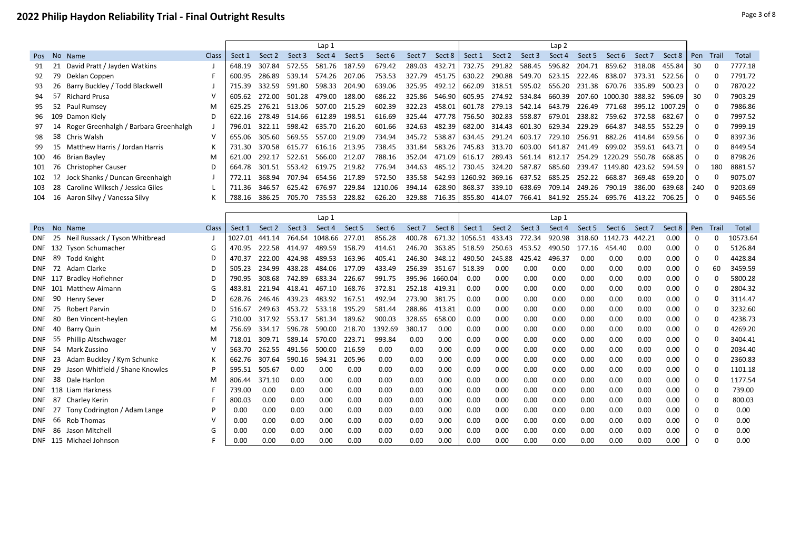# **2022 Philip Haydon Reliability Trial - Final Outright Results Page 101 Contract Contract Page 101 Results** Page 3 of 8

|     |                                          |       |        |        |        | Lap 1  |        |         |        |               |                              |                      |               | Lap <sub>2</sub> |        |                                                                      |        |                    |          |     |         |
|-----|------------------------------------------|-------|--------|--------|--------|--------|--------|---------|--------|---------------|------------------------------|----------------------|---------------|------------------|--------|----------------------------------------------------------------------|--------|--------------------|----------|-----|---------|
|     | Pos No Name                              | Class | Sect 1 | Sect 2 | Sect 3 | Sect 4 | Sect 5 | Sect 6  | Sect 7 | Sect 8        | Sect 1                       | Sect 2               | Sect 3        | Sect 4           | Sect 5 | Sect 6                                                               | Sect 7 | Sect 8   Pen Trail |          |     | Total   |
| 91  | 21 David Pratt / Jayden Watkins          |       | 648.19 | 307.84 | 572.55 | 581.76 | 187.59 | 679.42  | 289.03 | 432.71        | 732.75                       | 291.82               | 588.45        | 596.82           | 204.71 | 859.62                                                               | 318.08 | 455.84             | -30      |     | 7777.18 |
| 92  | 79 Deklan Coppen                         |       | 600.95 | 286.89 | 539.14 | 574.26 | 207.06 | 753.53  | 327.79 | 451.75        |                              | 630.22 290.88 549.70 |               | 623.15           | 222.46 | 838.07                                                               | 373.31 | 522.56             |          |     | 7791.72 |
| 93  | 26 Barry Buckley / Todd Blackwell        |       | 715.39 | 332.59 | 591.80 | 598.33 | 204.90 | 639.06  | 325.95 | 492.12        |                              | 662.09 318.51        |               | 595.02 656.20    | 231.38 | 670.76                                                               | 335.89 | 500.23             |          |     | 7870.22 |
| 94  | 57 Richard Prusa                         |       | 605.62 | 272.00 | 501.28 | 479.00 | 188.00 | 686.22  |        | 325.86 546.90 |                              | 605.95 274.92        | 534.84 660.39 |                  |        | 207.60 1000.30                                                       | 388.32 | 596.09             | -30      |     | 7903.29 |
| 95  | 52 Paul Rumsey                           | M     | 625.25 | 276.21 | 513.06 | 507.00 | 215.29 | 602.39  | 322.23 | 458.01        |                              | 601.78 279.13        | 542.14        | 643.79           | 226.49 | 771.68                                                               | 395.12 | 1007.291           | - 0      | O   | 7986.86 |
|     | 96 109 Damon Kiely                       |       | 622.16 | 278.49 | 514.66 | 612.89 | 198.51 | 616.69  | 325.44 | 477.78        |                              | 756.50 302.83        | 558.87        | 679.01           | 238.82 | 759.62                                                               | 372.58 | 682.67             |          |     | 7997.52 |
| 97  | 14 Roger Greenhalgh / Barbara Greenhalgh |       | 796.01 | 322.11 | 598.42 | 635.70 | 216.20 | 601.66  | 324.63 |               | 482.39 682.00 314.43         |                      | 601.30        | 629.34           | 229.29 | 664.87                                                               | 348.55 | 552.29             |          |     | 7999.19 |
| 98  | 58 Chris Walsh                           |       | 655.06 | 305.60 | 569.55 | 557.00 | 219.09 | 734.94  | 345.72 | 538.87        |                              | 634.45 291.24 603.17 |               | 729.10           | 256.91 | 882.26                                                               | 414.84 | 659.56             | - 0      |     | 8397.36 |
|     | 99 15 Matthew Harris / Jordan Harris     |       | 731.30 | 370.58 | 615.77 | 616.16 | 213.95 | 738.45  | 331.84 | 583.26        |                              | 745.83 313.70        | 603.00        | 641.87           | 241.49 | 699.02                                                               | 359.61 | 643.71             | - 0      |     | 8449.54 |
| 100 | 46 Brian Bayley                          | M     | 621.00 | 292.17 | 522.61 | 566.00 | 212.07 | 788.16  | 352.04 | 471.09        | 616.17                       | 289.43               | 561.14 812.17 |                  |        | 254.29 1220.29 550.78                                                |        | 668.85             |          |     | 8798.26 |
|     | 101 76 Christopher Causer                | D     | 664.78 | 301.51 | 553.42 | 619.75 | 219.82 | 776.94  | 344.63 | 485.12        |                              | 730.45 324.20 587.87 |               |                  |        | 685.60 239.47 1149.80 423.62                                         |        | 594.59             |          | 180 | 8881.57 |
|     | 102 12 Jock Shanks / Duncan Greenhalgh   |       | 772.11 | 368.94 | 707.94 | 654.56 | 217.89 | 572.50  | 335.58 |               | 542.93 1260.92 369.16 637.52 |                      |               | 685.25           | 252.22 | 668.87                                                               | 369.48 | 659.20             | $\Omega$ |     | 9075.07 |
|     | 103 28 Caroline Wilksch / Jessica Giles  |       | 711.36 | 346.57 | 625.42 | 676.97 | 229.84 | 1210.06 | 394.14 | 628.90        | 868.37                       | 339.10               | 638.69        | 709.14           | 249.26 | 790.19                                                               | 386.00 | 639.68             | $-240$   | - 0 | 9203.69 |
|     | 104 16 Aaron Silvy / Vanessa Silvy       |       | 788.16 | 386.25 | 705.70 | 735.53 | 228.82 | 626.20  |        |               |                              |                      |               |                  |        | 329.88 716.35 85.80 414.07 766.41 841.92 255.24 695.76 413.22 706.25 |        |                    |          |     | 9465.56 |

|                   |                                 |       |         |        |        | Lap 1   |        |         |        |         |                |        |        | Lap 1  |        |         |        |        |     |          |          |
|-------------------|---------------------------------|-------|---------|--------|--------|---------|--------|---------|--------|---------|----------------|--------|--------|--------|--------|---------|--------|--------|-----|----------|----------|
| Pos No Name       |                                 | Class | Sect 1  | Sect 2 | Sect 3 | Sect 4  | Sect 5 | Sect 6  | Sect 7 | Sect 8  | Sect 1         | Sect 2 | Sect 3 | Sect 4 | Sect 5 | Sect 6  | Sect 7 | Sect 8 | Pen | Trail    | Total    |
| - 25<br>DNF       | Neil Russack / Tyson Whitbread  |       | 1027.01 | 441.14 | 764.64 | 1048.66 | 277.01 | 856.28  | 400.78 |         | 671.32 1056.51 | 433.43 | 772.34 | 920.98 | 318.60 | 1142.73 | 442.21 | 0.00   |     |          | 10573.64 |
|                   | DNF 132 Tyson Schumacher        | G     | 470.95  | 222.58 | 414.97 | 489.59  | 158.79 | 414.61  | 246.70 | 363.85  | 518.59         | 250.63 | 453.52 | 490.50 | 177.16 | 454.40  | 0.00   | 0.00   |     |          | 5126.84  |
| - 89<br>DNF       | Todd Knight                     |       | 470.37  | 222.00 | 424.98 | 489.53  | 163.96 | 405.41  | 246.30 | 348.12  | 490.50         | 245.88 | 425.42 | 496.37 | 0.00   | 0.00    | 0.00   | 0.00   |     |          | 4428.84  |
|                   | DNF 72 Adam Clarke              |       | 505.23  | 234.99 | 438.28 | 484.06  | 177.09 | 433.49  | 256.39 | 351.67  | 518.39         | 0.00   | 0.00   | 0.00   | 0.00   | 0.00    | 0.00   | 0.00   |     | 60       | 3459.59  |
| DNF 117           | <b>Bradley Hoflehner</b>        | D     | 790.95  | 308.68 | 742.89 | 683.34  | 226.67 | 991.75  | 395.96 | 1660.04 | 0.00           | 0.00   | 0.00   | 0.00   | 0.00   | 0.00    | 0.00   | 0.00   |     |          | 5800.28  |
|                   | DNF 101 Matthew Aimann          |       | 483.81  | 221.94 | 418.41 | 467.10  | 168.76 | 372.81  | 252.18 | 419.31  | 0.00           | 0.00   | 0.00   | 0.00   | 0.00   | 0.00    | 0.00   | 0.00   |     |          | 2804.32  |
| 90<br>DNF         | <b>Henry Sever</b>              |       | 628.76  | 246.46 | 439.23 | 483.92  | 167.51 | 492.94  | 273.90 | 381.75  | 0.00           | 0.00   | 0.00   | 0.00   | 0.00   | 0.00    | 0.00   | 0.00   |     |          | 3114.47  |
| 75<br>DNF         | <b>Robert Parvin</b>            |       | 516.67  | 249.63 | 453.72 | 533.18  | 195.29 | 581.44  | 288.86 | 413.81  | 0.00           | 0.00   | 0.00   | 0.00   | 0.00   | 0.00    | 0.00   | 0.00   |     |          | 3232.60  |
| -80<br><b>DNF</b> | Ben Vincent-heylen              |       | 710.00  | 317.92 | 553.17 | 581.34  | 189.62 | 900.03  | 328.65 | 658.00  | 0.00           | 0.00   | 0.00   | 0.00   | 0.00   | 0.00    | 0.00   | 0.00   |     |          | 4238.73  |
| 40<br><b>DNF</b>  | Barry Quin                      | M     | 756.69  | 334.17 | 596.78 | 590.00  | 218.70 | 1392.69 | 380.17 | 0.00    | 0.00           | 0.00   | 0.00   | 0.00   | 0.00   | 0.00    | 0.00   | 0.00   |     |          | 4269.20  |
| -55<br><b>DNF</b> | <b>Phillip Altschwager</b>      | M     | 718.01  | 309.71 | 589.14 | 570.00  | 223.71 | 993.84  | 0.00   | 0.00    | 0.00           | 0.00   | 0.00   | 0.00   | 0.00   | 0.00    | 0.00   | 0.00   |     |          | 3404.41  |
| - 54<br>DNF       | Mark Zussino                    |       | 563.70  | 262.55 | 491.56 | 500.00  | 216.59 | 0.00    | 0.00   | 0.00    | 0.00           | 0.00   | 0.00   | 0.00   | 0.00   | 0.00    | 0.00   | 0.00   |     |          | 2034.40  |
| -23<br><b>DNF</b> | Adam Buckley / Kym Schunke      | к     | 662.76  | 307.64 | 590.16 | 594.31  | 205.96 | 0.00    | 0.00   | 0.00    | 0.00           | 0.00   | 0.00   | 0.00   | 0.00   | 0.00    | 0.00   | 0.00   |     |          | 2360.83  |
| -29<br><b>DNF</b> | Jason Whitfield / Shane Knowles |       | 595.51  | 505.67 | 0.00   | 0.00    | 0.00   | 0.00    | 0.00   | 0.00    | 0.00           | 0.00   | 0.00   | 0.00   | 0.00   | 0.00    | 0.00   | 0.00   |     |          | 1101.18  |
| - 38<br>DNF       | Dale Hanlon                     | M     | 806.44  | 371.10 | 0.00   | 0.00    | 0.00   | 0.00    | 0.00   | 0.00    | 0.00           | 0.00   | 0.00   | 0.00   | 0.00   | 0.00    | 0.00   | 0.00   |     |          | 1177.54  |
|                   | DNF 118 Liam Harkness           |       | 739.00  | 0.00   | 0.00   | 0.00    | 0.00   | 0.00    | 0.00   | 0.00    | 0.00           | 0.00   | 0.00   | 0.00   | 0.00   | 0.00    | 0.00   | 0.00   |     |          | 739.00   |
| 87<br><b>DNF</b>  | Charley Kerin                   |       | 800.03  | 0.00   | 0.00   | 0.00    | 0.00   | 0.00    | 0.00   | 0.00    | 0.00           | 0.00   | 0.00   | 0.00   | 0.00   | 0.00    | 0.00   | 0.00   |     |          | 800.03   |
| - 27<br>DNF       | Tony Codrington / Adam Lange    |       | 0.00    | 0.00   | 0.00   | 0.00    | 0.00   | 0.00    | 0.00   | 0.00    | 0.00           | 0.00   | 0.00   | 0.00   | 0.00   | 0.00    | 0.00   | 0.00   |     | $\Omega$ | 0.00     |
| 66<br>DNF         | <b>Rob Thomas</b>               |       | 0.00    | 0.00   | 0.00   | 0.00    | 0.00   | 0.00    | 0.00   | 0.00    | 0.00           | 0.00   | 0.00   | 0.00   | 0.00   | 0.00    | 0.00   | 0.00   |     | $\Omega$ | 0.00     |
| -86<br>DNF        | Jason Mitchell                  |       | 0.00    | 0.00   | 0.00   | 0.00    | 0.00   | 0.00    | 0.00   | 0.00    | 0.00           | 0.00   | 0.00   | 0.00   | 0.00   | 0.00    | 0.00   | 0.00   |     |          | 0.00     |
|                   | DNF 115 Michael Johnson         |       | 0.00    | 0.00   | 0.00   | 0.00    | 0.00   | 0.00    | 0.00   | 0.00    | 0.00           | 0.00   | 0.00   | 0.00   | 0.00   | 0.00    | 0.00   | 0.00   |     |          | 0.00     |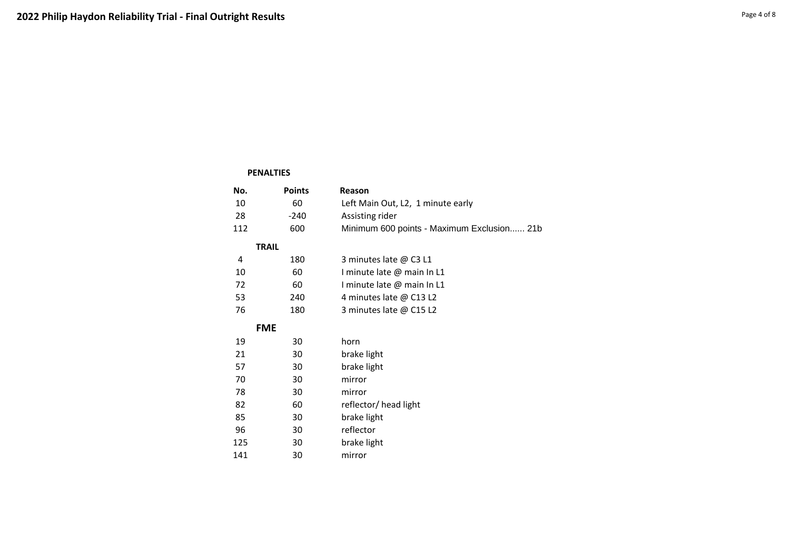### **PENALTIES**

| No. | <b>Points</b> | Reason                                     |
|-----|---------------|--------------------------------------------|
| 10  | 60            | Left Main Out, L2, 1 minute early          |
| 28  | $-240$        | Assisting rider                            |
| 112 | 600           | Minimum 600 points - Maximum Exclusion 21b |
|     | <b>TRAIL</b>  |                                            |
| 4   | 180           | 3 minutes late @ C3 L1                     |
| 10  | 60            | I minute late @ main In L1                 |
| 72  | 60            | I minute late @ main In L1                 |
| 53  | 240           | 4 minutes late @ C13 L2                    |
| 76  | 180           | 3 minutes late @ C15 L2                    |
|     | <b>FME</b>    |                                            |
| 19  | 30            | horn                                       |
| 21  | 30            | brake light                                |
| 57  | 30            | brake light                                |
| 70  | 30            | mirror                                     |
| 78  | 30            | mirror                                     |
| 82  | 60            | reflector/ head light                      |
| 85  | 30            | brake light                                |
| 96  | 30            | reflector                                  |
| 125 | 30            | brake light                                |
| 141 | 30            | mirror                                     |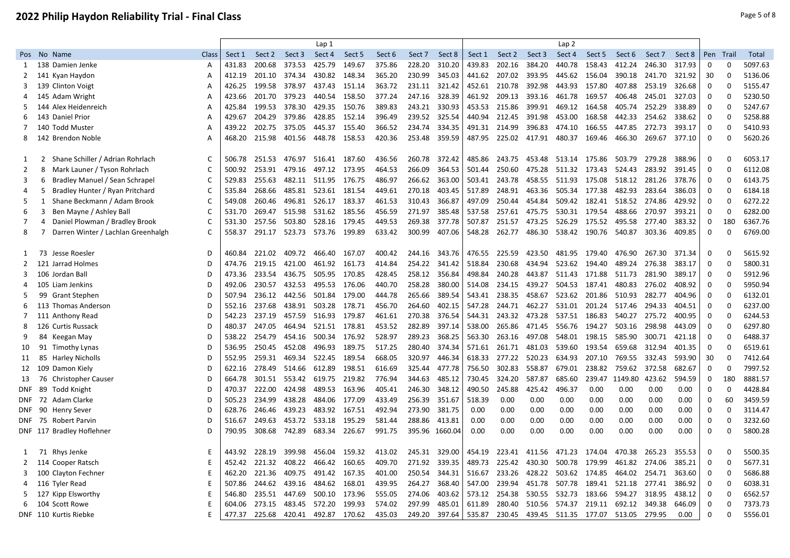## **2022 Philip Haydon Reliability Trial - Final Class** Page 5 of 8

|               |                                         |              |        |        |        | Lap <sub>1</sub> |        |        |                |        |        |        |        | Lap2          |        |               |        |        |             |          |         |
|---------------|-----------------------------------------|--------------|--------|--------|--------|------------------|--------|--------|----------------|--------|--------|--------|--------|---------------|--------|---------------|--------|--------|-------------|----------|---------|
|               | Pos No Name                             | Class        | Sect 1 | Sect 2 | Sect 3 | Sect 4           | Sect 5 | Sect 6 | Sect 7         | Sect 8 | Sect 1 | Sect 2 | Sect 3 | Sect 4        | Sect 5 | Sect 6        | Sect 7 | Sect 8 | Pen         | Trail    | Total   |
| 1             | 138 Damien Jenke                        | А            | 431.83 | 200.68 | 373.53 | 425.79           | 149.67 | 375.86 | 228.20         | 310.20 | 439.83 | 202.16 | 384.20 | 440.78        | 158.43 | 412.24        | 246.30 | 317.93 | $\mathbf 0$ | $\Omega$ | 5097.63 |
| 2             | 141 Kyan Haydon                         | А            | 412.19 | 201.10 | 374.34 | 430.82           | 148.34 | 365.20 | 230.99         | 345.03 | 441.62 | 207.02 | 393.95 | 445.62        | 156.04 | 390.18        | 241.70 | 321.92 | 30          | $\Omega$ | 5136.06 |
| 3             | 139 Clinton Voigt                       | А            | 426.25 | 199.58 | 378.97 | 437.43           | 151.14 | 363.72 | 231.11         | 321.42 | 452.61 | 210.78 | 392.98 | 443.93        | 157.80 | 407.88        | 253.19 | 326.68 | 0           | 0        | 5155.47 |
| 4             | 145 Adam Wright                         | Α            | 423.66 | 201.70 | 379.23 | 440.54           | 158.50 | 377.24 | 247.16         | 328.39 | 461.92 | 209.13 | 393.16 | 461.78        | 169.57 | 406.48        | 245.01 | 327.03 | 0           | 0        | 5230.50 |
| 5             | 144 Alex Heidenreich                    | А            | 425.84 | 199.53 | 378.30 | 429.35           | 150.76 | 389.83 | 243.21         | 330.93 | 453.53 | 215.86 | 399.91 | 469.12        | 164.58 | 405.74        | 252.29 | 338.89 | 0           | $\Omega$ | 5247.67 |
| 6             | 143 Daniel Prior                        | А            | 429.67 | 204.29 | 379.86 | 428.85           | 152.14 | 396.49 | 239.52         | 325.54 | 440.94 | 212.45 | 391.98 | 453.00        | 168.58 | 442.33        | 254.62 | 338.62 | $\mathbf 0$ | 0        | 5258.88 |
| 7             | 140 Todd Muster                         | А            | 439.22 | 202.75 | 375.05 | 445.37           | 155.40 | 366.52 | 234.74         | 334.35 | 491.31 | 214.99 | 396.83 | 474.10        | 166.55 | 447.85        | 272.73 | 393.17 | $\mathbf 0$ | $\Omega$ | 5410.93 |
| 8             | 142 Brendon Noble                       | А            | 468.20 | 215.98 | 401.56 | 448.78           | 158.53 | 420.36 | 253.48         | 359.59 | 487.95 | 225.02 | 417.91 | 480.37        | 169.46 | 466.30        | 269.67 | 377.10 | $\mathbf 0$ | $\Omega$ | 5620.26 |
|               |                                         |              |        |        |        |                  |        |        |                |        |        |        |        |               |        |               |        |        |             |          |         |
| 1             | Shane Schiller / Adrian Rohrlach<br>2   | C            | 506.78 | 251.53 | 476.97 | 516.41           | 187.60 | 436.56 | 260.78         | 372.42 | 485.86 | 243.75 | 453.48 | 513.14        | 175.86 | 503.79        | 279.28 | 388.96 | $\Omega$    | O        | 6053.17 |
| 2             | Mark Launer / Tyson Rohrlach<br>8       | C            | 500.92 | 253.91 | 479.16 | 497.12           | 173.95 | 464.53 | 266.09         | 364.53 | 501.44 | 250.60 | 475.28 | 511.32        | 173.43 | 524.43        | 283.92 | 391.45 | 0           | 0        | 6112.08 |
| 3             | 6<br>Bradley Manuel / Sean Schrapel     | C            | 529.83 | 255.63 | 482.11 | 511.95           | 176.75 | 486.97 | 266.62         | 363.00 | 503.41 | 243.78 | 458.55 | 511.93        | 175.08 | 518.12        | 281.26 | 378.76 | 0           | 0        | 6143.75 |
| 4             | Bradley Hunter / Ryan Pritchard<br>5    | C            | 535.84 | 268.66 | 485.81 | 523.61           | 181.54 | 449.61 | 270.18         | 403.45 | 517.89 | 248.91 | 463.36 | 505.34        | 177.38 | 482.93        | 283.64 | 386.03 | 0           | $\Omega$ | 6184.18 |
| 5             | Shane Beckmann / Adam Brook<br>1        | C            | 549.08 | 260.46 | 496.81 | 526.17           | 183.37 | 461.53 | 310.43         | 366.87 | 497.09 | 250.44 | 454.84 | 509.42        | 182.41 | 518.52        | 274.86 | 429.92 | 0           | $\Omega$ | 6272.22 |
| 6             | 3<br>Ben Mayne / Ashley Ball            | C            | 531.70 | 269.47 | 515.98 | 531.62           | 185.56 | 456.59 | 271.97         | 385.48 | 537.58 | 257.61 | 475.75 | 530.31        | 179.54 | 488.66        | 270.97 | 393.21 | $\mathbf 0$ | $\Omega$ | 6282.00 |
| 7             | Daniel Plowman / Bradley Brook<br>4     | $\mathsf{C}$ | 531.30 | 257.56 | 503.80 | 528.16           | 179.45 | 449.53 | 269.38         | 377.78 | 507.87 | 251.57 | 473.25 | 526.29        | 175.52 | 495.58        | 277.40 | 383.32 | 0           | 180      | 6367.76 |
| 8             | Darren Winter / Lachlan Greenhalgh<br>7 | C            | 558.37 | 291.17 | 523.73 | 573.76           | 199.89 | 633.42 | 300.99         | 407.06 | 548.28 | 262.77 | 486.30 | 538.42        | 190.76 | 540.87        | 303.36 | 409.85 | $\mathbf 0$ | 0        | 6769.00 |
| 1             | Jesse Roesler<br>73                     | D            | 460.84 | 221.02 | 409.72 | 466.40           | 167.07 | 400.42 | 244.16         | 343.76 | 476.55 | 225.59 | 423.50 | 481.95        | 179.40 | 476.90        | 267.30 | 371.34 | 0           | $\Omega$ | 5615.92 |
| 2             | 121 Jarrad Holmes                       | D            | 474.76 | 219.15 | 421.00 | 461.92           | 161.73 | 414.84 | 254.22         | 341.42 | 518.84 | 230.68 | 434.94 | 523.62        | 194.40 | 489.24        | 276.38 | 383.17 | 0           | $\Omega$ | 5800.31 |
| 3             | 106 Jordan Ball                         | D            | 473.36 | 233.54 | 436.75 | 505.95           | 170.85 | 428.45 | 258.12         | 356.84 | 498.84 | 240.28 | 443.87 | 511.43        | 171.88 | 511.73        | 281.90 | 389.17 | 0           | 0        | 5912.96 |
| 4             | 105 Liam Jenkins                        | D            | 492.06 | 230.57 | 432.53 | 495.53           | 176.06 | 440.70 | 258.28         | 380.00 | 514.08 | 234.15 | 439.27 | 504.53        | 187.41 | 480.83        | 276.02 | 408.92 | 0           | $\Omega$ | 5950.94 |
| 5             | 99<br><b>Grant Stephen</b>              | D            | 507.94 | 236.12 | 442.56 | 501.84           | 179.00 | 444.78 | 265.66         | 389.54 | 543.41 | 238.35 | 458.67 | 523.62        | 201.86 | 510.93        | 282.77 | 404.96 | 0           | $\Omega$ | 6132.01 |
| 6             | 113 Thomas Anderson                     | D            | 552.16 | 237.68 | 438.91 | 503.28           | 178.71 | 456.70 | 264.60         | 402.15 | 547.28 | 244.71 | 462.27 | 531.01        | 201.24 | 517.46        | 294.33 | 404.51 | $\mathbf 0$ | 0        | 6237.00 |
| 7             | 111 Anthony Read                        | D            | 542.23 | 237.19 | 457.59 | 516.93           | 179.87 | 461.61 | 270.38         | 376.54 | 544.31 | 243.32 | 473.28 | 537.51        | 186.83 | 540.27        | 275.72 | 400.95 | $\mathbf 0$ | $\Omega$ | 6244.53 |
| 8             | 126 Curtis Russack                      | D            | 480.37 | 247.05 | 464.94 | 521.51           | 178.81 | 453.52 | 282.89         | 397.14 | 538.00 | 265.86 | 471.45 | 556.76        | 194.27 | 503.16        | 298.98 | 443.09 | 0           | $\Omega$ | 6297.80 |
| 9             | 84 Keegan May                           | D            | 538.22 | 254.79 | 454.16 | 500.34           | 176.92 | 528.97 | 289.23         | 368.25 | 563.30 | 263.16 | 497.08 | 548.01        | 198.15 | 585.90        | 300.71 | 421.18 | $\mathbf 0$ | 0        | 6488.37 |
| 10            | 91 Timothy Lynas                        | D            | 536.95 | 250.45 | 452.08 | 496.93           | 189.75 | 517.25 | 280.40         | 374.34 | 571.61 | 261.71 | 481.03 | 539.60        | 193.54 | 659.68        | 312.94 | 401.35 | $\mathbf 0$ | $\Omega$ | 6519.61 |
| 11            | 85<br><b>Harley Nicholls</b>            | D            | 552.95 | 259.31 | 469.34 | 522.45           | 189.54 | 668.05 | 320.97         | 446.34 | 618.33 | 277.22 | 520.23 | 634.93        | 207.10 | 769.55        | 332.43 | 593.90 | 30          | 0        | 7412.64 |
| 12            | 109 Damon Kiely                         | D            | 622.16 | 278.49 | 514.66 | 612.89           | 198.51 | 616.69 | 325.44         | 477.78 | 756.50 | 302.83 | 558.87 | 679.01        | 238.82 | 759.62        | 372.58 | 682.67 | 0           | 0        | 7997.52 |
| 13            | 76<br><b>Christopher Causer</b>         | D            | 664.78 | 301.51 | 553.42 | 619.75           | 219.82 | 776.94 | 344.63         | 485.12 | 730.45 | 324.20 | 587.87 | 685.60        | 239.47 | 1149.80       | 423.62 | 594.59 | 0           | 180      | 8881.57 |
| <b>DNF</b>    | 89<br><b>Todd Knight</b>                | D            | 470.37 | 222.00 | 424.98 | 489.53           | 163.96 | 405.41 | 246.30         | 348.12 | 490.50 | 245.88 | 425.42 | 496.37        | 0.00   | 0.00          | 0.00   | 0.00   | 0           | 0        | 4428.84 |
| <b>DNF</b>    | 72<br>Adam Clarke                       | D            | 505.23 | 234.99 | 438.28 | 484.06           | 177.09 | 433.49 | 256.39         | 351.67 | 518.39 | 0.00   | 0.00   | 0.00          | 0.00   | 0.00          | 0.00   | 0.00   | $\mathbf 0$ | 60       | 3459.59 |
| <b>DNF 90</b> | <b>Henry Sever</b>                      | D            | 628.76 | 246.46 | 439.23 | 483.92           | 167.51 | 492.94 | 273.90         | 381.75 | 0.00   | 0.00   | 0.00   | 0.00          | 0.00   | 0.00          | 0.00   | 0.00   | $\mathbf 0$ | 0        | 3114.47 |
| DNF 75        | <b>Robert Parvin</b>                    | D            | 516.67 | 249.63 | 453.72 | 533.18           | 195.29 | 581.44 | 288.86         | 413.81 | 0.00   | 0.00   | 0.00   | 0.00          | 0.00   | 0.00          | 0.00   | 0.00   | $\mathbf 0$ | 0        | 3232.60 |
|               | DNF 117 Bradley Hoflehner               | D            | 790.95 | 308.68 | 742.89 | 683.34           | 226.67 | 991.75 | 395.96 1660.04 |        | 0.00   | 0.00   | 0.00   | 0.00          | 0.00   | 0.00          | 0.00   | 0.00   | 0           | $\Omega$ | 5800.28 |
|               |                                         |              |        |        |        |                  |        |        |                |        |        |        |        |               |        |               |        |        |             |          |         |
| 1             | Rhys Jenke<br>71                        | Ε            | 443.92 | 228.19 | 399.98 | 456.04           | 159.32 | 413.02 | 245.31         | 329.00 | 454.19 | 223.41 | 411.56 | 471.23        | 174.04 | 470.38        | 265.23 | 355.53 | 0           | 0        | 5500.35 |
| 2             | 114 Cooper Ratsch                       |              | 452.42 | 221.32 | 408.22 | 466.42           | 160.65 | 409.70 | 271.92         | 339.35 | 489.73 | 225.42 | 430.30 | 500.78        | 179.99 | 461.82        | 274.06 | 385.21 | 0           | $\Omega$ | 5677.31 |
| 3             | 100 Clayton Fechner                     | F            | 462.20 | 221.36 | 409.75 | 491.42           | 167.35 | 401.00 | 250.54         | 344.31 | 516.67 | 233.26 | 428.22 | 503.62        | 174.85 | 464.02 254.71 |        | 363.60 | 0           | 0        | 5686.88 |
| 4             | 116 Tyler Read                          | F            | 507.86 | 244.62 | 439.16 | 484.62           | 168.01 | 439.95 | 264.27         | 368.40 | 547.00 | 239.94 | 451.78 | 507.78        | 189.41 | 521.18        | 277.41 | 386.92 | 0           | $\Omega$ | 6038.31 |
| 5             | 127 Kipp Elsworthy                      |              | 546.80 | 235.51 | 447.69 | 500.10           | 173.96 | 555.05 | 274.06         | 403.62 | 573.12 | 254.38 | 530.55 | 532.73        | 183.66 | 594.27        | 318.95 | 438.12 | 0           | $\Omega$ | 6562.57 |
| 6             | 104 Scott Rowe                          | Ε            | 604.06 | 273.15 | 483.45 | 572.20           | 199.93 | 574.02 | 297.99         | 485.01 | 611.89 | 280.40 | 510.56 | 574.37        | 219.11 | 692.12        | 349.38 | 646.09 | $\mathbf 0$ | $\Omega$ | 7373.73 |
|               | DNF 110 Kurtis Riebke                   |              | 477.37 | 225.68 | 420.41 | 492.87           | 170.62 | 435.03 | 249.20         | 397.64 | 535.87 | 230.45 | 439.45 | 511.35 177.07 |        | 513.05 279.95 |        | 0.00   | $\Omega$    | $\Omega$ | 5556.01 |
|               |                                         |              |        |        |        |                  |        |        |                |        |        |        |        |               |        |               |        |        |             |          |         |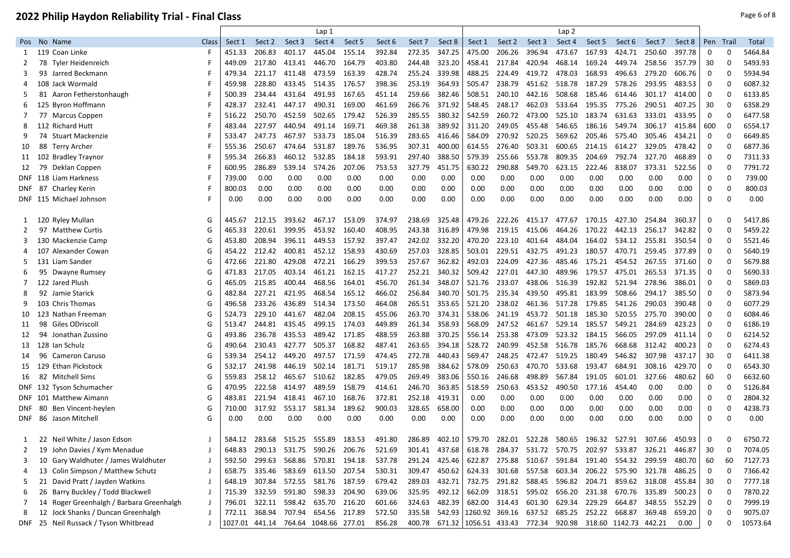## **2022 Philip Haydon Reliability Trial - Final Class** Page 6 of 8

|                |                                                            |              |        |        |                                      | Lap <sub>1</sub> |        |        |        |               |                                                                  |                      |                      | Lap <sub>2</sub> |                             |               |        |                  |                |             |          |
|----------------|------------------------------------------------------------|--------------|--------|--------|--------------------------------------|------------------|--------|--------|--------|---------------|------------------------------------------------------------------|----------------------|----------------------|------------------|-----------------------------|---------------|--------|------------------|----------------|-------------|----------|
| Pos No         | <b>Name</b>                                                | <b>Class</b> | Sect 1 | Sect 2 | Sect 3                               | Sect 4           | Sect 5 | Sect 6 | Sect 7 | Sect 8        | Sect 1                                                           | Sect 2               | Sect 3               | Sect 4           | Sect 5                      | Sect 6        | Sect 7 | Sect 8           | Pen            | Trail       | Total    |
| 1              | 119 Coan Linke                                             |              | 451.33 | 206.83 | 401.17                               | 445.04           | 155.14 | 392.84 | 272.35 | 347.25        | 475.00                                                           | 206.26               | 396.94               | 473.67           | 167.93                      | 424.71        | 250.60 | 397.78           | $\mathbf 0$    | 0           | 5464.84  |
| 2              | Tyler Heidenreich<br>78                                    |              | 449.09 | 217.80 | 413.41                               | 446.70           | 164.79 | 403.80 | 244.48 | 323.20        | 458.41                                                           | 217.84               | 420.94               | 468.14           | 169.24                      | 449.74        | 258.56 | 357.79           | 30             | $\Omega$    | 5493.93  |
| 3              | Jarred Beckmann<br>93                                      |              | 479.34 | 221.17 | 411.48                               | 473.59           | 163.39 | 428.74 | 255.24 | 339.98        | 488.25                                                           | 224.49               | 419.72               | 478.03           | 168.93                      | 496.63        | 279.20 | 606.76           | $\mathbf 0$    | 0           | 5934.94  |
| 4              | 108 Jack Wormald                                           |              | 459.98 | 228.80 | 433.45                               | 514.35           | 176.57 | 398.36 | 253.19 | 364.93        | 505.47                                                           | 238.79               | 451.62               | 518.78           | 187.29                      | 578.26        | 293.95 | 483.53           | 0              | 0           | 6087.32  |
| 5              | Aaron Fetherstonhaugh<br>81                                |              | 500.39 | 234.44 | 431.64                               | 491.93           | 167.65 | 451.14 | 259.66 | 382.46        | 508.51                                                           | 240.10               | 442.16               | 508.68           | 185.46                      | 614.46        | 301.17 | 414.00           | 0              | 0           | 6133.85  |
| 6              | 125 Byron Hoffmann                                         |              | 428.37 | 232.41 | 447.17                               | 490.31           | 169.00 | 461.69 | 266.76 | 371.92        | 548.45                                                           | 248.17               | 462.03               | 533.64           | 195.35                      | 775.26        | 290.51 | 407.25           | 30             | $\mathbf 0$ | 6358.29  |
| 7              | 77<br>Marcus Coppen                                        |              | 516.22 | 250.70 | 452.59                               | 502.65           | 179.42 | 526.39 | 285.55 | 380.32        | 542.59                                                           | 260.72               | 473.00               | 525.10           | 183.74                      | 631.63        | 333.01 | 433.95           | 0              | 0           | 6477.58  |
| 8              | 112 Richard Hutt                                           |              | 483.44 | 227.97 | 440.94                               | 491.14           | 169.71 | 469.38 | 261.38 | 389.92        | 311.20                                                           | 249.05               | 455.48               | 546.65           | 186.16                      | 549.74        | 306.17 | 415.84           | 600            | $\Omega$    | 6554.17  |
| 9              | 74 Stuart Mackenzie                                        |              | 533.47 | 247.73 | 467.97                               | 533.73           | 185.04 | 516.39 | 283.65 | 416.46        | 584.09                                                           | 270.92               | 520.25               | 569.62           | 205.46                      | 575.40        | 305.46 | 434.21           | 0              | 0           | 6649.85  |
| 10             | 88 Terry Archer                                            |              | 555.36 | 250.67 | 474.64                               | 531.87           | 189.76 | 536.95 | 307.31 | 400.00        | 614.55                                                           | 276.40               | 503.31               | 600.65           | 214.15                      | 614.27        | 329.05 | 478.42           | 0              | 0           | 6877.36  |
| 11             | 102 Bradley Traynor                                        |              | 595.34 | 266.83 | 460.12                               | 532.85           | 184.18 | 593.91 | 297.40 | 388.50        | 579.39                                                           | 255.66               | 553.78               | 809.35           | 204.69                      | 792.74        | 327.70 | 468.89           | $\mathbf 0$    | 0           | 7311.33  |
| 12             | 79<br>Deklan Coppen                                        |              | 600.95 | 286.89 | 539.14                               | 574.26           | 207.06 | 753.53 | 327.79 | 451.75        | 630.22                                                           | 290.88               | 549.70               | 623.15           | 222.46                      | 838.07        | 373.31 | 522.56           | 0              | 0           | 7791.72  |
|                | DNF 118 Liam Harkness                                      |              | 739.00 | 0.00   | 0.00                                 | 0.00             | 0.00   | 0.00   | 0.00   | 0.00          | 0.00                                                             | 0.00                 | 0.00                 | 0.00             | 0.00                        | 0.00          | 0.00   | 0.00             | 0              | $\mathbf 0$ | 739.00   |
| DNF 87         | Charley Kerin                                              |              | 800.03 | 0.00   | 0.00                                 | 0.00             | 0.00   | 0.00   | 0.00   | 0.00          | 0.00                                                             | 0.00                 | 0.00                 | 0.00             | 0.00                        | 0.00          | 0.00   | 0.00             | 0              | 0           | 800.03   |
|                | DNF 115 Michael Johnson                                    | F            | 0.00   | 0.00   | 0.00                                 | 0.00             | 0.00   | 0.00   | 0.00   | 0.00          | 0.00                                                             | 0.00                 | 0.00                 | 0.00             | 0.00                        | 0.00          | 0.00   | 0.00             | 0              | 0           | 0.00     |
|                |                                                            |              |        |        |                                      |                  |        |        |        |               |                                                                  |                      |                      |                  |                             |               |        |                  |                |             |          |
| 1              | 120 Ryley Mullan                                           | G            | 445.67 | 212.15 | 393.62                               | 467.17           | 153.09 | 374.97 | 238.69 | 325.48        | 479.26                                                           | 222.26               | 415.17               | 477.67           | 170.15                      | 427.30        | 254.84 | 360.37           | 0              | $\Omega$    | 5417.86  |
| 2              | 97<br>Matthew Curtis                                       | G            | 465.33 | 220.61 | 399.95                               | 453.92           | 160.40 | 408.95 | 243.38 | 316.89        | 479.98                                                           | 219.15               | 415.06               | 464.26           | 170.22                      | 442.13        | 256.17 | 342.82           | $\mathbf 0$    | 0           | 5459.22  |
| 3              | 130 Mackenzie Camp                                         | G            | 453.80 | 208.94 | 396.11                               | 449.53           | 157.92 | 397.47 | 242.02 | 332.20        | 470.20                                                           | 223.10               | 401.64               | 484.04           | 164.02                      | 534.12        | 255.81 | 350.54           | 0              | 0           | 5521.46  |
| 4              | Alexander Cowan<br>107                                     | G            | 454.22 | 212.42 | 400.81                               | 452.12           | 158.93 | 430.69 | 257.03 | 328.85        | 503.01                                                           | 229.51               | 432.75               | 491.23           | 180.57                      | 470.71        | 259.45 | 377.89           | $\mathbf 0$    | 0           | 5640.19  |
| 5              | Liam Sander<br>131                                         | G            | 472.66 | 221.80 | 429.08                               | 472.21           | 166.29 | 399.53 | 257.67 | 362.82        | 492.03                                                           | 224.09               | 427.36               | 485.46           | 175.21                      | 454.52        | 267.55 | 371.60           | 0              | $\Omega$    | 5679.88  |
| 6              | Dwayne Rumsey<br>95                                        | G            | 471.83 | 217.05 | 403.14                               | 461.21           | 162.15 | 417.27 | 252.21 | 340.32        | 509.42                                                           | 227.01               | 447.30               | 489.96           | 179.57                      | 475.01        | 265.53 | 371.35           | 0              | 0           | 5690.33  |
| 7              | 122 Jared Plush                                            | G            | 465.05 | 215.85 | 400.44                               | 468.56           | 164.01 | 456.70 | 261.34 | 348.07        | 521.76                                                           | 233.07               | 438.06               | 516.39           | 192.82                      | 521.94        | 278.96 | 386.01           | 0              | 0           | 5869.03  |
| 8              | 92 Jamie Starick                                           | G            | 482.84 | 227.21 | 421.95                               | 468.54           | 165.12 | 466.02 | 256.84 | 340.70        | 501.75                                                           | 235.34               | 439.50               | 495.81           | 183.99                      | 508.66        | 294.17 | 385.50           | 0              | $\Omega$    | 5873.94  |
| 9              | 103 Chris Thomas                                           | G            | 496.58 | 233.26 | 436.89                               | 514.34           | 173.50 | 464.08 | 265.51 | 353.65        | 521.20                                                           | 238.02               | 461.36               | 517.28           | 179.85                      | 541.26        | 290.03 | 390.48           | 0              | 0           | 6077.29  |
| 10             | 123 Nathan Freeman                                         | G            | 524.73 | 229.10 | 441.67                               | 482.04           | 208.15 | 455.06 | 263.70 | 374.31        | 538.06                                                           | 241.19               | 453.72               | 501.18           | 185.30                      | 520.55        | 275.70 | 390.00           | 0              | 0           | 6084.46  |
| 11             | Giles ODriscoll<br>98                                      | G            | 513.47 | 244.81 | 435.45                               | 499.15           | 174.03 | 449.89 | 261.34 | 358.93        | 568.09                                                           | 247.52               | 461.67               | 529.14           | 185.57                      | 549.21        | 284.69 | 423.23           | 0              | 0           | 6186.19  |
| 12             | Jonathan Zussino<br>94                                     | G            | 493.86 | 236.78 | 435.53                               | 489.42           | 171.85 | 488.59 | 263.88 | 370.25        | 556.14                                                           | 253.38               | 473.09               | 523.32           | 184.15                      | 566.05        | 297.09 | 411.14           | 0              | $\Omega$    | 6214.52  |
| 13             | 128 Ian Schulz                                             | G            | 490.64 | 230.43 | 427.77                               | 505.37           | 168.82 | 487.41 | 263.65 | 394.18        | 528.72                                                           | 240.99               | 452.58               | 516.78           | 185.76                      | 668.68        | 312.42 | 400.23           | 0              | 0           | 6274.43  |
| 14             | 96 Cameron Caruso                                          | G            | 539.34 | 254.12 | 449.20                               | 497.57           | 171.59 | 474.45 | 272.78 | 440.43        | 569.47                                                           | 248.25               | 472.47               | 519.25           | 180.49                      | 546.82        | 307.98 | 437.17           | 30             | $\Omega$    | 6411.38  |
| 15             | 129 Ethan Pickstock                                        | G            | 532.17 | 241.98 | 446.19                               | 502.14           | 181.71 | 519.17 | 285.98 | 384.62        | 578.09                                                           | 250.63               | 470.70               | 533.68           | 193.47                      | 684.91        | 308.16 | 429.70           | 0              | 0           | 6543.30  |
| 16             | 82 Mitchell Sims                                           | G            | 559.83 | 258.12 | 465.67                               | 510.62           | 182.85 | 479.05 | 269.49 | 383.06        | 550.16                                                           | 246.68               | 498.89               | 567.84           | 191.05                      | 601.01        | 327.66 | 480.62           | 60             | 0           | 6632.60  |
|                | DNF 132 Tyson Schumacher                                   | G            | 470.95 | 222.58 | 414.97                               | 489.59           | 158.79 | 414.61 | 246.70 | 363.85        | 518.59                                                           | 250.63               | 453.52               | 490.50           | 177.16                      | 454.40        | 0.00   | 0.00             | 0              | 0           | 5126.84  |
|                | DNF 101 Matthew Aimann                                     | G            | 483.81 | 221.94 | 418.41                               | 467.10           | 168.76 | 372.81 | 252.18 | 419.31        | 0.00                                                             | 0.00                 | 0.00                 | 0.00             | 0.00                        | 0.00          | 0.00   | 0.00             | 0              | $\Omega$    | 2804.32  |
| <b>DNF 80</b>  | Ben Vincent-heylen                                         | G            | 710.00 | 317.92 | 553.17                               | 581.34           | 189.62 | 900.03 | 328.65 | 658.00        | 0.00                                                             | 0.00                 | 0.00                 | 0.00             | 0.00                        | 0.00          | 0.00   | 0.00             | 0              | $\Omega$    | 4238.73  |
|                | DNF 86 Jason Mitchell                                      | G            | 0.00   | 0.00   | 0.00                                 | 0.00             | 0.00   | 0.00   | 0.00   | 0.00          | 0.00                                                             | 0.00                 | 0.00                 | 0.00             | 0.00                        | 0.00          | 0.00   | 0.00             | 0              | 0           | 0.00     |
|                |                                                            |              |        |        |                                      |                  |        |        |        |               |                                                                  |                      |                      |                  |                             |               |        |                  |                |             |          |
|                |                                                            |              | 584.12 | 283.68 | 515.25                               | 555.89           | 183.53 | 491.80 | 286.89 | 402.10        | 579.70                                                           | 282.01               | 522.28               | 580.65           | 196.32 527.91               |               | 307.66 | 450.93           | 0              | O           | 6750.72  |
|                | 1 22 Neil White / Jason Edson<br>John Davies / Kym Menadue |              |        |        |                                      |                  |        |        |        |               | 618.78 284.37 531.72                                             |                      |                      |                  |                             |               |        |                  |                |             |          |
| $\overline{2}$ | 19                                                         |              | 648.83 | 290.13 | 531.75                               | 590.26 206.76    |        | 521.69 |        | 301.41 437.68 |                                                                  | 622.87 275.88 510.67 |                      | 570.75           | 202.97 533.87               |               | 326.21 | 446.87<br>480.70 | 30             | 0<br>60     | 7074.05  |
| 3              | 10 Gary Waldhuter / James Waldhuter                        |              | 592.50 | 299.63 | 568.86                               | 570.81 194.18    |        | 537.78 | 291.24 | 425.46        |                                                                  |                      |                      | 591.84           | 191.40                      | 554.32 299.59 |        |                  | 60             |             | 7127.73  |
| 4              | Colin Simpson / Matthew Schutz<br>13                       |              | 658.75 | 335.46 | 583.69                               | 613.50 207.54    |        | 530.31 | 309.47 | 450.62        | 624.33 301.68 557.58                                             |                      |                      |                  | 603.34 206.22 575.90 321.78 |               |        | 486.25           | $\overline{0}$ | 0           | 7366.42  |
| 5              | David Pratt / Jayden Watkins<br>21                         |              | 648.19 | 307.84 | 572.55 581.76 187.59                 |                  |        | 679.42 | 289.03 | 432.71        |                                                                  | 732.75 291.82 588.45 |                      |                  | 596.82 204.71 859.62 318.08 |               |        | 455.84           | 30             | 0           | 7777.18  |
| 6              | Barry Buckley / Todd Blackwell<br>26                       |              | 715.39 | 332.59 | 591.80                               | 598.33 204.90    |        | 639.06 | 325.95 | 492.12        | 662.09                                                           |                      | 318.51 595.02 656.20 |                  | 231.38 670.76 335.89        |               |        | 500.23           | 0              | 0           | 7870.22  |
| 7              | Roger Greenhalgh / Barbara Greenhalgh<br>14                |              | 796.01 | 322.11 | 598.42                               | 635.70 216.20    |        | 601.66 | 324.63 | 482.39        | 682.00                                                           | 314.43               | 601.30               |                  | 629.34 229.29               | 664.87        | 348.55 | 552.29           | 0              | 0           | 7999.19  |
| 8              | 12 Jock Shanks / Duncan Greenhalgh                         |              |        |        | 772.11 368.94 707.94 654.56 217.89   |                  |        | 572.50 |        |               | 335.58 542.93 1260.92 369.16 637.52 685.25 252.22 668.87         |                      |                      |                  |                             |               | 369.48 | 659.20           | 0              | 0           | 9075.07  |
|                | DNF 25 Neil Russack / Tyson Whitbread                      |              |        |        | 1027.01 441.14 764.64 1048.66 277.01 |                  |        | 856.28 |        |               | 400.78 671.32 1056.51 433.43 772.34 920.98 318.60 1142.73 442.21 |                      |                      |                  |                             |               |        | 0.00             | $\mathbf 0$    | 0           | 10573.64 |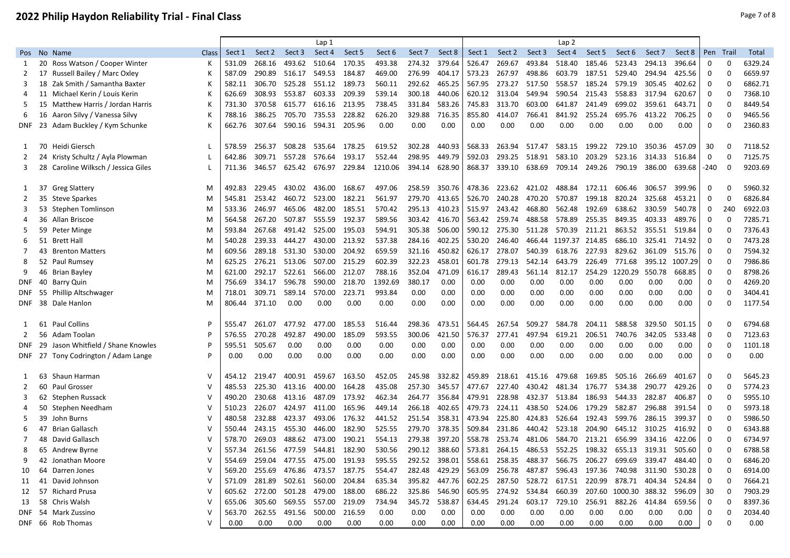# **2022 Philip Haydon Reliability Trial - Final Class** Page 7 of 8

|            |     |                                     |              |        |                                    |        | Lap 1                |        |         |        |               |                             |                      |        | Lap <sub>2</sub>            |        |                                                         |        |         |          |               |         |
|------------|-----|-------------------------------------|--------------|--------|------------------------------------|--------|----------------------|--------|---------|--------|---------------|-----------------------------|----------------------|--------|-----------------------------|--------|---------------------------------------------------------|--------|---------|----------|---------------|---------|
|            |     | Pos No Name                         | Class        | Sect 1 | Sect 2                             | Sect 3 | Sect 4               | Sect 5 | Sect 6  | Sect 7 | Sect 8        | Sect 1                      | Sect 2               | Sect 3 | Sect 4                      | Sect 5 | Sect 6                                                  | Sect 7 | Sect 8  | Pen      | Trail         | Total   |
|            | 20  | Ross Watson / Cooper Winter         |              | 531.09 | 268.16                             | 493.62 | 510.64               | 170.35 | 493.38  | 274.32 | 379.64        | 526.47                      | 269.67               | 493.84 | 518.40                      | 185.46 | 523.43                                                  | 294.13 | 396.64  | $\Omega$ | 0             | 6329.24 |
| 2          | 17  | Russell Bailey / Marc Oxley         |              | 587.09 | 290.89                             | 516.17 | 549.53               | 184.87 | 469.00  | 276.99 | 404.17        | 573.23                      | 267.97               | 498.86 | 603.79                      | 187.51 | 529.40                                                  | 294.94 | 425.56  | $\Omega$ | $\Omega$      | 6659.97 |
| 3          |     | 18 Zak Smith / Samantha Baxter      |              | 582.11 | 306.70                             | 525.28 | 551.12               | 189.73 | 560.11  | 292.62 | 465.25        | 567.95                      | 273.27               | 517.50 | 558.57                      | 185.24 | 579.19                                                  | 305.45 | 402.62  | 0        | $\Omega$      | 6862.71 |
| 4          |     | 11 Michael Kerin / Louis Kerin      | к            | 626.69 | 308.93                             | 553.87 | 603.33               | 209.39 | 539.14  | 300.18 | 440.06        | 620.12                      | 313.04               | 549.94 | 590.54                      | 215.43 | 558.83                                                  | 317.94 | 620.67  | $\Omega$ | $\Omega$      | 7368.10 |
| -5         |     | 15 Matthew Harris / Jordan Harris   | к            | 731.30 | 370.58                             | 615.77 | 616.16               | 213.95 | 738.45  | 331.84 | 583.26        | 745.83                      | 313.70               | 603.00 | 641.87                      | 241.49 | 699.02                                                  | 359.61 | 643.71  | 0        | 0             | 8449.54 |
| 6          | 16  | Aaron Silvy / Vanessa Silvy         |              | 788.16 | 386.25                             | 705.70 | 735.53               | 228.82 | 626.20  | 329.88 | 716.35        | 855.80                      | 414.07               | 766.41 | 841.92                      | 255.24 | 695.76                                                  | 413.22 | 706.25  | 0        | $\Omega$      | 9465.56 |
| DNF.       | 23  | Adam Buckley / Kym Schunke          |              | 662.76 | 307.64                             | 590.16 | 594.31               | 205.96 | 0.00    | 0.00   | 0.00          | 0.00                        | 0.00                 | 0.00   | 0.00                        | 0.00   | 0.00                                                    | 0.00   | 0.00    | $\Omega$ | 0             | 2360.83 |
|            |     |                                     |              |        |                                    |        |                      |        |         |        |               |                             |                      |        |                             |        |                                                         |        |         |          |               |         |
| 1          |     | 70 Heidi Giersch                    |              | 578.59 | 256.37                             | 508.28 | 535.64               | 178.25 | 619.52  | 302.28 | 440.93        | 568.33                      | 263.94               | 517.47 | 583.15                      | 199.22 | 729.10                                                  | 350.36 | 457.09  | 30       | $\Omega$      | 7118.52 |
|            | 24  | Kristy Schultz / Ayla Plowman       |              | 642.86 | 309.71                             | 557.28 | 576.64               | 193.17 | 552.44  | 298.95 | 449.79        | 592.03                      | 293.25               | 518.91 | 583.10                      | 203.29 | 523.16                                                  | 314.33 | 516.84  | 0        | $\Omega$      | 7125.75 |
| 3          |     | 28 Caroline Wilksch / Jessica Giles |              | 711.36 | 346.57                             | 625.42 | 676.97               | 229.84 | 1210.06 | 394.14 | 628.90        | 868.37                      | 339.10               | 638.69 | 709.14                      | 249.26 | 790.19                                                  | 386.00 | 639.68  | -240     | $\Omega$      | 9203.69 |
|            |     |                                     |              |        |                                    |        |                      |        |         |        |               |                             |                      |        |                             |        |                                                         |        |         |          |               |         |
| 1          | 37  | <b>Greg Slattery</b>                | M            | 492.83 | 229.45                             | 430.02 | 436.00               | 168.67 | 497.06  | 258.59 | 350.76        | 478.36                      | 223.62               | 421.02 | 488.84                      | 172.11 | 606.46                                                  | 306.57 | 399.96  | 0        | 0             | 5960.32 |
| 2          |     | 35 Steve Sparkes                    | M            | 545.81 | 253.42                             | 460.72 | 523.00               | 182.21 | 561.97  | 279.70 | 413.65        | 526.70                      | 240.28               | 470.20 | 570.87                      | 199.18 | 820.24                                                  | 325.68 | 453.21  | 0        | 0             | 6826.84 |
| 3          | 53  | Stephen Tomlinson                   | M            | 533.36 | 246.97                             | 465.06 | 482.00               | 185.51 | 570.42  | 295.13 | 410.23        | 515.97                      | 243.42               | 468.80 | 562.48                      | 192.69 | 638.62                                                  | 330.59 | 540.78  | 0        | 240           | 6922.03 |
| 4          |     | 36 Allan Briscoe                    | M            | 564.58 | 267.20                             | 507.87 | 555.59               | 192.37 | 589.56  | 303.42 | 416.70        | 563.42                      | 259.74               | 488.58 | 578.89                      | 255.35 | 849.35                                                  | 403.33 | 489.76  | 0        | $\Omega$      | 7285.71 |
|            |     | 59 Peter Minge                      | M            | 593.84 | 267.68                             | 491.42 | 525.00               | 195.03 | 594.91  | 305.38 | 506.00        | 590.12                      | 275.30               | 511.28 | 570.39                      | 211.21 | 863.52                                                  | 355.51 | 519.84  | $\Omega$ | $\Omega$      | 7376.43 |
| 6          |     | 51 Brett Hall                       | M            | 540.28 | 239.33                             | 444.27 | 430.00               | 213.92 | 537.38  | 284.16 | 402.25        | 530.20                      | 246.40               | 466.44 | 1197.37 214.85              |        | 686.10                                                  | 325.41 | 714.92  | $\Omega$ | $\Omega$      | 7473.28 |
|            | 43  | <b>Brenton Matters</b>              | M            | 609.56 | 289.18                             | 531.30 | 530.00               | 204.92 | 659.59  | 321.16 | 450.82        | 626.17                      | 278.07               | 540.39 | 618.76                      | 227.93 | 829.62                                                  | 361.09 | 515.76  | 0        | $\Omega$      | 7594.32 |
| 8          |     | 52 Paul Rumsey                      | M            | 625.25 | 276.21                             | 513.06 | 507.00               | 215.29 | 602.39  | 322.23 | 458.01        | 601.78                      | 279.13               | 542.14 | 643.79                      | 226.49 | 771.68                                                  | 395.12 | 1007.29 | 0        | 0             | 7986.86 |
| 9          | 46  | Brian Bayley                        | M            | 621.00 | 292.17                             | 522.61 | 566.00               | 212.07 | 788.16  | 352.04 | 471.09        | 616.17                      | 289.43               | 561.14 | 812.17                      | 254.29 | 1220.29                                                 | 550.78 | 668.85  | 0        | $\Omega$      | 8798.26 |
| <b>DNF</b> | 40  | <b>Barry Quin</b>                   | M            | 756.69 | 334.17                             | 596.78 | 590.00               | 218.70 | 1392.69 | 380.17 | 0.00          | 0.00                        | 0.00                 | 0.00   | 0.00                        | 0.00   | 0.00                                                    | 0.00   | 0.00    | $\Omega$ | 0             | 4269.20 |
| DNF.       | -55 | <b>Phillip Altschwager</b>          | M            | 718.01 | 309.71                             | 589.14 | 570.00               | 223.71 | 993.84  | 0.00   | 0.00          | 0.00                        | 0.00                 | 0.00   | 0.00                        | 0.00   | 0.00                                                    | 0.00   | 0.00    | $\Omega$ | $\Omega$      | 3404.41 |
| DNF.       | 38  | Dale Hanlon                         | M            | 806.44 | 371.10                             | 0.00   | 0.00                 | 0.00   | 0.00    | 0.00   | 0.00          | 0.00                        | 0.00                 | 0.00   | 0.00                        | 0.00   | 0.00                                                    | 0.00   | 0.00    | $\Omega$ | $\Omega$      | 1177.54 |
|            |     |                                     |              |        |                                    |        |                      |        |         |        |               |                             |                      |        |                             |        |                                                         |        |         |          |               |         |
| 1          |     | 61 Paul Collins                     | P            | 555.47 | 261.07                             | 477.92 | 477.00               | 185.53 | 516.44  | 298.36 | 473.51        | 564.45                      | 267.54               | 509.27 | 584.78                      | 204.11 | 588.58                                                  | 329.50 | 501.15  | $\Omega$ | $\Omega$      | 6794.68 |
| 2          | 56  | Adam Toolan                         | P            | 576.55 | 270.28                             | 492.87 | 490.00               | 185.09 | 593.55  | 300.06 | 421.50        | 576.37                      | 277.41               | 497.94 | 619.21                      | 206.51 | 740.76                                                  | 342.05 | 533.48  | 0        | 0             | 7123.63 |
| <b>DNF</b> | 29  | Jason Whitfield / Shane Knowles     | P            | 595.51 | 505.67                             | 0.00   | 0.00                 | 0.00   | 0.00    | 0.00   | 0.00          | 0.00                        | 0.00                 | 0.00   | 0.00                        | 0.00   | 0.00                                                    | 0.00   | 0.00    | 0        | $\Omega$      | 1101.18 |
| DNF.       | 27  | Tony Codrington / Adam Lange        | P            | 0.00   | 0.00                               | 0.00   | 0.00                 | 0.00   | 0.00    | 0.00   | 0.00          | 0.00                        | 0.00                 | 0.00   | 0.00                        | 0.00   | 0.00                                                    | 0.00   | 0.00    | 0        | $\Omega$      | 0.00    |
|            |     |                                     |              |        |                                    |        |                      |        |         |        |               |                             |                      |        |                             |        |                                                         |        |         |          |               |         |
|            | 63  | Shaun Harman                        | $\mathsf{V}$ | 454.12 | 219.47                             | 400.91 | 459.67               | 163.50 | 452.05  | 245.98 | 332.82        | 459.89                      | 218.61               | 415.16 | 479.68                      | 169.85 | 505.16                                                  | 266.69 | 401.67  | $\Omega$ | $\Omega$      | 5645.23 |
| 2          |     | 60 Paul Grosser                     |              | 485.53 | 225.30                             | 413.16 | 400.00               | 164.28 | 435.08  | 257.30 | 345.57        | 477.67                      | 227.40               | 430.42 | 481.34                      | 176.77 | 534.38                                                  | 290.77 | 429.26  | $\Omega$ | 0<br>$\Omega$ | 5774.23 |
| 3          |     | 62 Stephen Russack                  |              | 490.20 | 230.68                             | 413.16 | 487.09               | 173.92 | 462.34  | 264.77 | 356.84        | 479.91                      | 228.98               | 432.37 | 513.84                      | 186.93 | 544.33<br>582.87                                        | 282.87 | 406.87  | $\Omega$ |               | 5955.10 |
|            |     | 50 Stephen Needham                  |              | 510.23 | 226.07                             | 424.97 | 411.00               | 165.96 | 449.14  | 266.18 | 402.65        | 479.73                      | 224.11               | 438.50 | 524.06                      | 179.29 |                                                         | 296.88 | 391.54  | $\Omega$ | 0             | 5973.18 |
| -5         |     | 39 John Burns                       |              | 480.58 | 232.88                             | 423.37 | 493.06               | 176.32 | 441.52  | 251.54 | 358.31        | 473.94                      | 225.80               | 424.83 | 526.64                      | 192.43 | 599.76                                                  | 286.15 | 399.37  | 0        | 0             | 5986.50 |
| 6          | 47  | Brian Gallasch                      |              | 550.44 | 243.15                             | 455.30 | 446.00               | 182.90 | 525.55  | 279.70 | 378.35        | 509.84                      | 231.86               | 440.42 | 523.18                      | 204.90 | 645.12                                                  | 310.25 | 416.92  | 0        | 0             | 6343.88 |
| 7          | 48  | David Gallasch                      |              | 578.70 | 269.03                             | 488.62 | 473.00               | 190.21 | 554.13  | 279.38 | 397.20        | 558.78                      | 253.74               | 481.06 | 584.70                      | 213.21 | 656.99                                                  | 334.16 | 422.06  | 0        | $\Omega$      | 6734.97 |
| 8          |     | 65 Andrew Byrne                     |              | 557.34 | 261.56                             | 477.59 | 544.81               | 182.90 | 530.56  | 290.12 | 388.60        | 573.81                      | 264.15               | 486.53 | 552.25                      | 198.32 | 655.13                                                  | 319.31 | 505.60  | $\Omega$ | $\Omega$      | 6788.58 |
| 9          |     | 42 Jonathan Moore                   |              |        | 554.69 259.04 477.55 475.00 191.93 |        |                      |        | 595.55  |        |               | 292.52 398.01 558.61 258.35 |                      |        |                             |        | 488.37 566.75 206.27 699.69 339.47 484.40               |        |         |          | 0             | 6846.20 |
|            |     | 64 Darren Jones                     |              | 569.20 | 255.69                             |        | 476.86 473.57 187.75 |        | 554.47  |        | 282.48 429.29 |                             | 563.09 256.78        | 487.87 |                             |        | 596.43 197.36 740.98 311.90                             |        | 530.28  | 0        |               | 6914.00 |
| 11         |     | 41 David Johnson                    |              |        | 571.09 281.89                      |        | 502.61 560.00 204.84 |        | 635.34  |        | 395.82 447.76 |                             |                      |        |                             |        | 602.25 287.50 528.72 617.51 220.99 878.71 404.34 524.84 |        |         | 0        | 0             | 7664.21 |
|            |     | 57 Richard Prusa                    |              |        | 605.62 272.00                      |        | 501.28 479.00 188.00 |        | 686.22  |        | 325.86 546.90 |                             | 605.95 274.92 534.84 |        |                             |        | 660.39 207.60 1000.30 388.32                            |        | 596.09  | 30       | 0             | 7903.29 |
| 13         |     | 58 Chris Walsh                      |              |        | 655.06 305.60                      |        | 569.55 557.00 219.09 |        | 734.94  |        | 345.72 538.87 | 634.45                      | 291.24               |        | 603.17 729.10 256.91 882.26 |        |                                                         | 414.84 | 659.56  | 0        | 0             | 8397.36 |
|            |     | DNF 54 Mark Zussino                 | v            | 563.70 | 262.55                             |        | 491.56 500.00        | 216.59 | 0.00    | 0.00   | 0.00          | 0.00                        | 0.00                 | 0.00   | 0.00                        | 0.00   | 0.00                                                    | 0.00   | 0.00    | 0        | 0             | 2034.40 |
|            |     | DNF 66 Rob Thomas                   | V            | 0.00   | 0.00                               | 0.00   | 0.00                 | 0.00   | 0.00    | 0.00   | 0.00          | 0.00                        | 0.00                 | 0.00   | 0.00                        | 0.00   | 0.00                                                    | 0.00   | 0.00    | 0        | 0             | 0.00    |